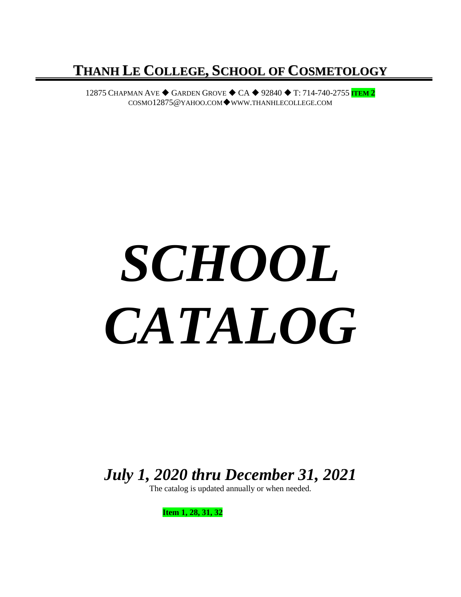# **THANH LE COLLEGE, SCHOOL OF COSMETOLOGY**

12875 CHAPMAN AVE GARDEN GROVE CA 92840 T: 714-740-2755 **ITEM 2** COSMO12875@YAHOO.COM◆WWW.THANHLECOLLEGE.COM

# *SCHOOL CATALOG*

*July 1, 2020 thru December 31, 2021*

The catalog is updated annually or when needed.

**Item 1, 28, 31, 32**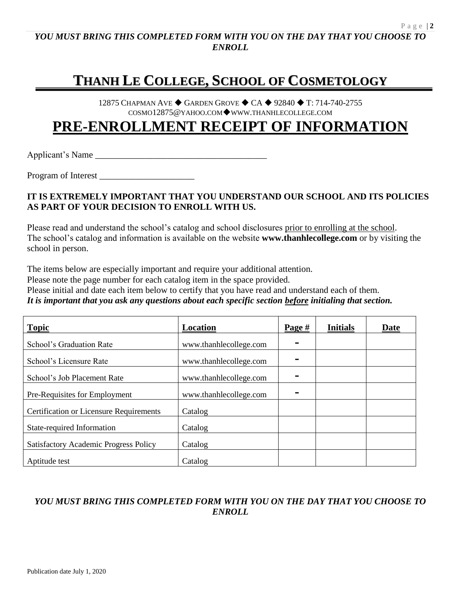#### *YOU MUST BRING THIS COMPLETED FORM WITH YOU ON THE DAY THAT YOU CHOOSE TO ENROLL*

# **THANH LE COLLEGE, SCHOOL OF COSMETOLOGY**

12875 CHAPMAN AVE ◆ GARDEN GROVE ◆ CA ◆ 92840 ◆ T: 714-740-2755 COSMO12875@YAHOO.COM◆WWW.THANHLECOLLEGE.COM

## **PRE-ENROLLMENT RECEIPT OF INFORMATION**

Applicant's Name

Program of Interest

#### **IT IS EXTREMELY IMPORTANT THAT YOU UNDERSTAND OUR SCHOOL AND ITS POLICIES AS PART OF YOUR DECISION TO ENROLL WITH US.**

Please read and understand the school's catalog and school disclosures prior to enrolling at the school. The school's catalog and information is available on the website **www.thanhlecollege.com** or by visiting the school in person.

The items below are especially important and require your additional attention.

Please note the page number for each catalog item in the space provided.

Please initial and date each item below to certify that you have read and understand each of them.

*It is important that you ask any questions about each specific section before initialing that section.*

| <b>Topic</b>                                   | Location               | Page # | <b>Initials</b> | Date |
|------------------------------------------------|------------------------|--------|-----------------|------|
| School's Graduation Rate                       | www.thanhlecollege.com |        |                 |      |
| School's Licensure Rate                        | www.thanhlecollege.com |        |                 |      |
| School's Job Placement Rate                    | www.thanhlecollege.com |        |                 |      |
| Pre-Requisites for Employment                  | www.thanhlecollege.com |        |                 |      |
| <b>Certification or Licensure Requirements</b> | Catalog                |        |                 |      |
| State-required Information                     | Catalog                |        |                 |      |
| <b>Satisfactory Academic Progress Policy</b>   | Catalog                |        |                 |      |
| Aptitude test                                  | Catalog                |        |                 |      |

### *YOU MUST BRING THIS COMPLETED FORM WITH YOU ON THE DAY THAT YOU CHOOSE TO ENROLL*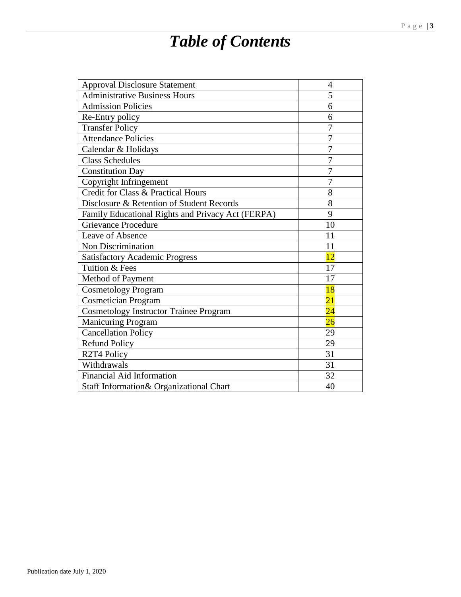# *Table of Contents*

| 4               |
|-----------------|
| 5               |
| 6               |
| 6               |
| $\overline{7}$  |
| $\overline{7}$  |
| $\overline{7}$  |
| $\overline{7}$  |
| $\overline{7}$  |
| $\overline{7}$  |
| 8               |
| 8               |
| 9               |
| 10              |
| 11              |
| 11              |
| 12              |
| 17              |
| 17              |
| 18              |
| $\overline{21}$ |
| $\overline{24}$ |
| $\overline{26}$ |
| 29              |
| 29              |
| 31              |
| 31              |
| 32              |
| 40              |
|                 |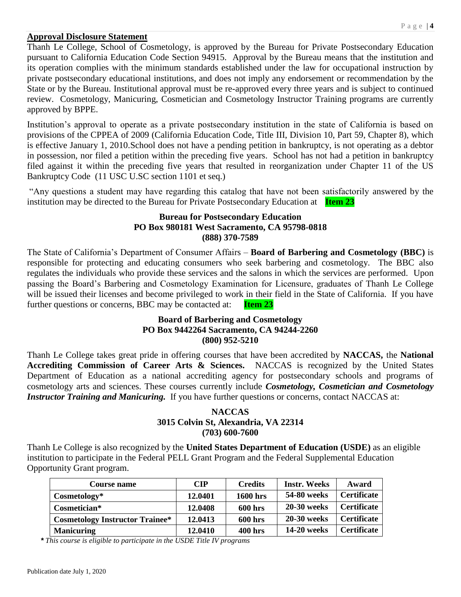#### **Approval Disclosure Statement**

Thanh Le College, School of Cosmetology, is approved by the Bureau for Private Postsecondary Education pursuant to California Education Code Section 94915. Approval by the Bureau means that the institution and its operation complies with the minimum standards established under the law for occupational instruction by private postsecondary educational institutions, and does not imply any endorsement or recommendation by the State or by the Bureau. Institutional approval must be re-approved every three years and is subject to continued review. Cosmetology, Manicuring, Cosmetician and Cosmetology Instructor Training programs are currently approved by BPPE.

Institution's approval to operate as a private postsecondary institution in the state of California is based on provisions of the CPPEA of 2009 (California Education Code, Title III, Division 10, Part 59, Chapter 8), which is effective January 1, 2010.School does not have a pending petition in bankruptcy, is not operating as a debtor in possession, nor filed a petition within the preceding five years. School has not had a petition in bankruptcy filed against it within the preceding five years that resulted in reorganization under Chapter 11 of the US Bankruptcy Code (11 USC U.SC section 1101 et seq.)

"Any questions a student may have regarding this catalog that have not been satisfactorily answered by the institution may be directed to the Bureau for Private Postsecondary Education at **Item 23**

#### **Bureau for Postsecondary Education PO Box 980181 West Sacramento, CA 95798-0818 (888) 370-7589**

The State of California's Department of Consumer Affairs – **Board of Barbering and Cosmetology (BBC)** is responsible for protecting and educating consumers who seek barbering and cosmetology. The BBC also regulates the individuals who provide these services and the salons in which the services are performed. Upon passing the Board's Barbering and Cosmetology Examination for Licensure, graduates of Thanh Le College will be issued their licenses and become privileged to work in their field in the State of California. If you have further questions or concerns, BBC may be contacted at: **Item 23**

#### **Board of Barbering and Cosmetology PO Box 9442264 Sacramento, CA 94244-2260 (800) 952-5210**

Thanh Le College takes great pride in offering courses that have been accredited by **NACCAS,** the **National Accrediting Commission of Career Arts & Sciences.** NACCAS is recognized by the United States Department of Education as a national accrediting agency for postsecondary schools and programs of cosmetology arts and sciences. These courses currently include *Cosmetology, Cosmetician and Cosmetology Instructor Training and Manicuring.* If you have further questions or concerns, contact NACCAS at:

#### **NACCAS 3015 Colvin St, Alexandria, VA 22314 (703) 600-7600**

Thanh Le College is also recognized by the **United States Department of Education (USDE)** as an eligible institution to participate in the Federal PELL Grant Program and the Federal Supplemental Education Opportunity Grant program.

| <b>Course name</b>                     | <b>CIP</b> | <b>Credits</b>  | <b>Instr. Weeks</b> | Award              |
|----------------------------------------|------------|-----------------|---------------------|--------------------|
| $Cosmetology*$                         | 12.0401    | <b>1600 hrs</b> | 54-80 weeks         | <b>Certificate</b> |
| Cosmetician*                           | 12.0408    | <b>600 hrs</b>  | <b>20-30 weeks</b>  | <b>Certificate</b> |
| <b>Cosmetology Instructor Trainee*</b> | 12.0413    | <b>600 hrs</b>  | <b>20-30 weeks</b>  | <b>Certificate</b> |
| <b>Manicuring</b>                      | 12.0410    | 400 hrs         | <b>14-20 weeks</b>  | <b>Certificate</b> |

*\* This course is eligible to participate in the USDE Title IV programs*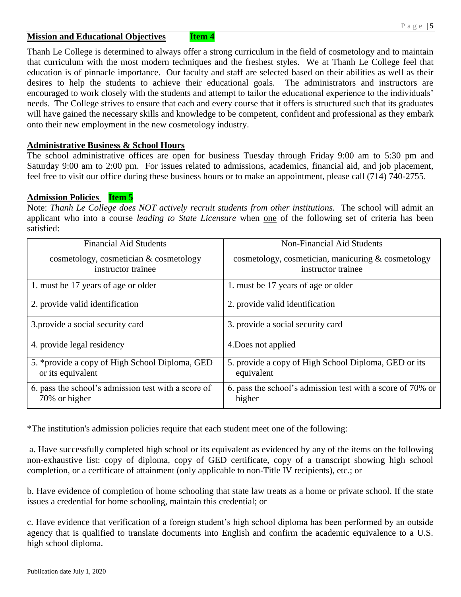#### **Mission and Educational Objectives Item 4**

Thanh Le College is determined to always offer a strong curriculum in the field of cosmetology and to maintain that curriculum with the most modern techniques and the freshest styles. We at Thanh Le College feel that education is of pinnacle importance. Our faculty and staff are selected based on their abilities as well as their desires to help the students to achieve their educational goals. The administrators and instructors are encouraged to work closely with the students and attempt to tailor the educational experience to the individuals' needs. The College strives to ensure that each and every course that it offers is structured such that its graduates will have gained the necessary skills and knowledge to be competent, confident and professional as they embark onto their new employment in the new cosmetology industry.

#### **Administrative Business & School Hours**

The school administrative offices are open for business Tuesday through Friday 9:00 am to 5:30 pm and Saturday 9:00 am to 2:00 pm. For issues related to admissions, academics, financial aid, and job placement, feel free to visit our office during these business hours or to make an appointment, please call (714) 740-2755.

#### **Admission Policies Item 5**

Note: *Thanh Le College does NOT actively recruit students from other institutions.* The school will admit an applicant who into a course *leading to State Licensure* when one of the following set of criteria has been satisfied:

| <b>Financial Aid Students</b>                                        | <b>Non-Financial Aid Students</b>                                        |
|----------------------------------------------------------------------|--------------------------------------------------------------------------|
| cosmetology, cosmetician & cosmetology<br>instructor trainee         | cosmetology, cosmetician, manicuring & cosmetology<br>instructor trainee |
| 1. must be 17 years of age or older                                  | 1. must be 17 years of age or older                                      |
| 2. provide valid identification                                      | 2. provide valid identification                                          |
| 3. provide a social security card                                    | 3. provide a social security card                                        |
| 4. provide legal residency                                           | 4. Does not applied                                                      |
| 5. *provide a copy of High School Diploma, GED<br>or its equivalent  | 5. provide a copy of High School Diploma, GED or its<br>equivalent       |
| 6. pass the school's admission test with a score of<br>70% or higher | 6. pass the school's admission test with a score of 70% or<br>higher     |

\*The institution's admission policies require that each student meet one of the following:

a. Have successfully completed high school or its equivalent as evidenced by any of the items on the following non-exhaustive list: copy of diploma, copy of GED certificate, copy of a transcript showing high school completion, or a certificate of attainment (only applicable to non-Title IV recipients), etc.; or

b. Have evidence of completion of home schooling that state law treats as a home or private school. If the state issues a credential for home schooling, maintain this credential; or

c. Have evidence that verification of a foreign student's high school diploma has been performed by an outside agency that is qualified to translate documents into English and confirm the academic equivalence to a U.S. high school diploma.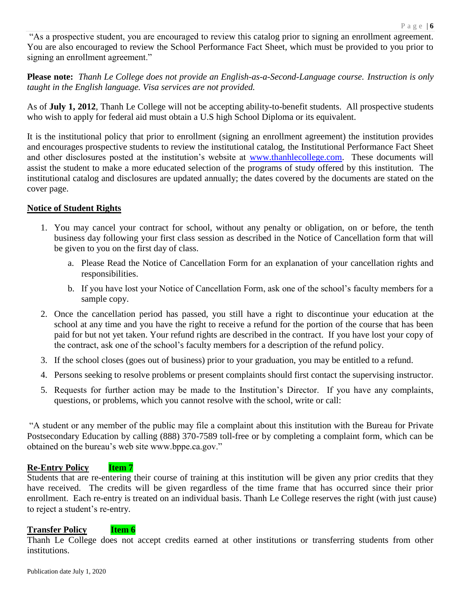"As a prospective student, you are encouraged to review this catalog prior to signing an enrollment agreement. You are also encouraged to review the School Performance Fact Sheet, which must be provided to you prior to signing an enrollment agreement."

**Please note:** *Thanh Le College does not provide an English-as-a-Second-Language course. Instruction is only taught in the English language. Visa services are not provided.*

As of **July 1, 2012**, Thanh Le College will not be accepting ability-to-benefit students. All prospective students who wish to apply for federal aid must obtain a U.S high School Diploma or its equivalent.

It is the institutional policy that prior to enrollment (signing an enrollment agreement) the institution provides and encourages prospective students to review the institutional catalog, the Institutional Performance Fact Sheet and other disclosures posted at the institution's website at [www.thanhlecollege.com.](http://www.thanhlecollege.com/) These documents will assist the student to make a more educated selection of the programs of study offered by this institution. The institutional catalog and disclosures are updated annually; the dates covered by the documents are stated on the cover page.

#### **Notice of Student Rights**

- 1. You may cancel your contract for school, without any penalty or obligation, on or before, the tenth business day following your first class session as described in the Notice of Cancellation form that will be given to you on the first day of class.
	- a. Please Read the Notice of Cancellation Form for an explanation of your cancellation rights and responsibilities.
	- b. If you have lost your Notice of Cancellation Form, ask one of the school's faculty members for a sample copy.
- 2. Once the cancellation period has passed, you still have a right to discontinue your education at the school at any time and you have the right to receive a refund for the portion of the course that has been paid for but not yet taken. Your refund rights are described in the contract. If you have lost your copy of the contract, ask one of the school's faculty members for a description of the refund policy.
- 3. If the school closes (goes out of business) prior to your graduation, you may be entitled to a refund.
- 4. Persons seeking to resolve problems or present complaints should first contact the supervising instructor.
- 5. Requests for further action may be made to the Institution's Director. If you have any complaints, questions, or problems, which you cannot resolve with the school, write or call:

"A student or any member of the public may file a complaint about this institution with the Bureau for Private Postsecondary Education by calling (888) 370-7589 toll-free or by completing a complaint form, which can be obtained on the bureau's web site www.bppe.ca.gov."

#### **Re-Entry Policy Item 7**

Students that are re-entering their course of training at this institution will be given any prior credits that they have received. The credits will be given regardless of the time frame that has occurred since their prior enrollment. Each re-entry is treated on an individual basis. Thanh Le College reserves the right (with just cause) to reject a student's re-entry.

#### **Transfer Policy Item 6**

Thanh Le College does not accept credits earned at other institutions or transferring students from other institutions.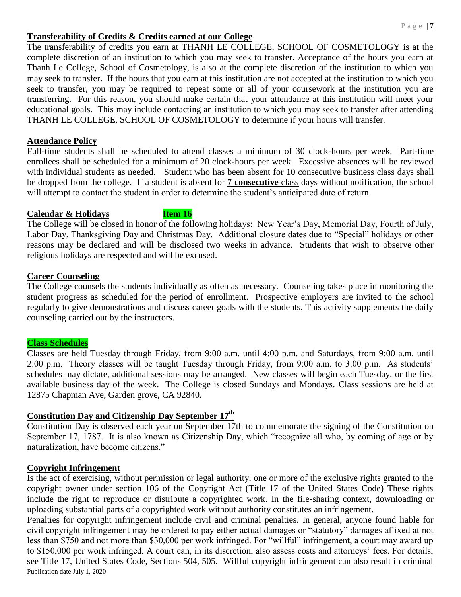#### **Transferability of Credits & Credits earned at our College**

The transferability of credits you earn at THANH LE COLLEGE, SCHOOL OF COSMETOLOGY is at the complete discretion of an institution to which you may seek to transfer. Acceptance of the hours you earn at Thanh Le College, School of Cosmetology, is also at the complete discretion of the institution to which you may seek to transfer. If the hours that you earn at this institution are not accepted at the institution to which you seek to transfer, you may be required to repeat some or all of your coursework at the institution you are transferring. For this reason, you should make certain that your attendance at this institution will meet your educational goals. This may include contacting an institution to which you may seek to transfer after attending THANH LE COLLEGE, SCHOOL OF COSMETOLOGY to determine if your hours will transfer.

#### **Attendance Policy**

Full-time students shall be scheduled to attend classes a minimum of 30 clock-hours per week. Part-time enrollees shall be scheduled for a minimum of 20 clock-hours per week. Excessive absences will be reviewed with individual students as needed. Student who has been absent for 10 consecutive business class days shall be dropped from the college. If a student is absent for **7 consecutive** class days without notification, the school will attempt to contact the student in order to determine the student's anticipated date of return.

#### **Calendar & Holidays Item 16**

The College will be closed in honor of the following holidays: New Year's Day, Memorial Day, Fourth of July, Labor Day, Thanksgiving Day and Christmas Day. Additional closure dates due to "Special" holidays or other reasons may be declared and will be disclosed two weeks in advance. Students that wish to observe other religious holidays are respected and will be excused.

#### **Career Counseling**

The College counsels the students individually as often as necessary. Counseling takes place in monitoring the student progress as scheduled for the period of enrollment. Prospective employers are invited to the school regularly to give demonstrations and discuss career goals with the students. This activity supplements the daily counseling carried out by the instructors.

#### **Class Schedules**

Classes are held Tuesday through Friday, from 9:00 a.m. until 4:00 p.m. and Saturdays, from 9:00 a.m. until 2:00 p.m. Theory classes will be taught Tuesday through Friday, from 9:00 a.m. to 3:00 p.m. As students' schedules may dictate, additional sessions may be arranged. New classes will begin each Tuesday, or the first available business day of the week. The College is closed Sundays and Mondays. Class sessions are held at 12875 Chapman Ave, Garden grove, CA 92840.

#### **Constitution Day and Citizenship Day September 17th**

Constitution Day is observed each year on September 17th to commemorate the signing of the Constitution on September 17, 1787. It is also known as Citizenship Day, which "recognize all who, by coming of age or by naturalization, have become citizens."

#### **Copyright Infringement**

Is the act of exercising, without permission or legal authority, one or more of the exclusive rights granted to the copyright owner under section 106 of the Copyright Act (Title 17 of the United States Code) These rights include the right to reproduce or distribute a copyrighted work. In the file-sharing context, downloading or uploading substantial parts of a copyrighted work without authority constitutes an infringement.

Publication date July 1, 2020 Penalties for copyright infringement include civil and criminal penalties. In general, anyone found liable for civil copyright infringement may be ordered to pay either actual damages or "statutory" damages affixed at not less than \$750 and not more than \$30,000 per work infringed. For "willful" infringement, a court may award up to \$150,000 per work infringed. A court can, in its discretion, also assess costs and attorneys' fees. For details, see Title 17, United States Code, Sections 504, 505. Willful copyright infringement can also result in criminal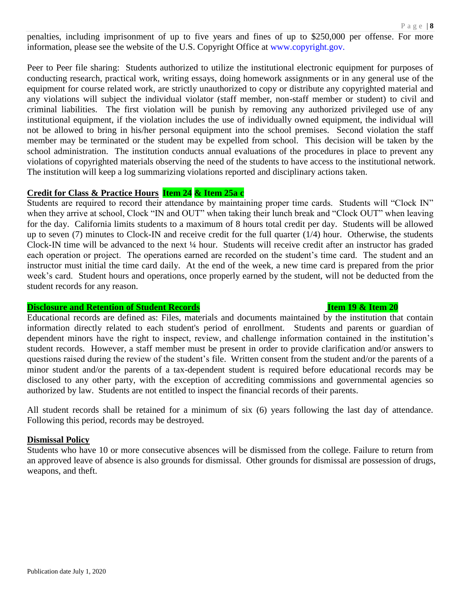penalties, including imprisonment of up to five years and fines of up to \$250,000 per offense. For more information, please see the website of the U.S. Copyright Office at [www.copyright.gov.](http://www.copyright.gov/)

Peer to Peer file sharing: Students authorized to utilize the institutional electronic equipment for purposes of conducting research, practical work, writing essays, doing homework assignments or in any general use of the equipment for course related work, are strictly unauthorized to copy or distribute any copyrighted material and any violations will subject the individual violator (staff member, non-staff member or student) to civil and criminal liabilities. The first violation will be punish by removing any authorized privileged use of any institutional equipment, if the violation includes the use of individually owned equipment, the individual will not be allowed to bring in his/her personal equipment into the school premises. Second violation the staff member may be terminated or the student may be expelled from school. This decision will be taken by the school administration. The institution conducts annual evaluations of the procedures in place to prevent any violations of copyrighted materials observing the need of the students to have access to the institutional network. The institution will keep a log summarizing violations reported and disciplinary actions taken.

#### **Credit for Class & Practice Hours Item 24 & Item 25a c**

Students are required to record their attendance by maintaining proper time cards. Students will "Clock IN" when they arrive at school, Clock "IN and OUT" when taking their lunch break and "Clock OUT" when leaving for the day. California limits students to a maximum of 8 hours total credit per day. Students will be allowed up to seven (7) minutes to Clock-IN and receive credit for the full quarter (1/4) hour. Otherwise, the students Clock-IN time will be advanced to the next ¼ hour. Students will receive credit after an instructor has graded each operation or project. The operations earned are recorded on the student's time card. The student and an instructor must initial the time card daily. At the end of the week, a new time card is prepared from the prior week's card.Student hours and operations, once properly earned by the student, will not be deducted from the student records for any reason.

#### **Disclosure and Retention of Student Records Item 19 & Item 20**

Educational records are defined as: Files, materials and documents maintained by the institution that contain information directly related to each student's period of enrollment. Students and parents or guardian of dependent minors have the right to inspect, review, and challenge information contained in the institution's student records. However, a staff member must be present in order to provide clarification and/or answers to questions raised during the review of the student's file. Written consent from the student and/or the parents of a minor student and/or the parents of a tax-dependent student is required before educational records may be disclosed to any other party, with the exception of accrediting commissions and governmental agencies so authorized by law. Students are not entitled to inspect the financial records of their parents.

All student records shall be retained for a minimum of six (6) years following the last day of attendance. Following this period, records may be destroyed.

#### **Dismissal Policy**

Students who have 10 or more consecutive absences will be dismissed from the college. Failure to return from an approved leave of absence is also grounds for dismissal. Other grounds for dismissal are possession of drugs, weapons, and theft.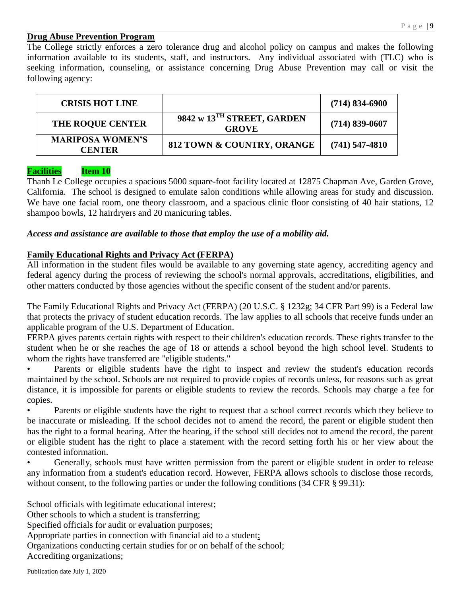#### **Drug Abuse Prevention Program**

The College strictly enforces a zero tolerance drug and alcohol policy on campus and makes the following information available to its students, staff, and instructors. Any individual associated with (TLC) who is seeking information, counseling, or assistance concerning Drug Abuse Prevention may call or visit the following agency:

| <b>CRISIS HOT LINE</b>                   |                                                        | $(714) 834 - 6900$ |
|------------------------------------------|--------------------------------------------------------|--------------------|
| THE ROOUE CENTER                         | 9842 w 13 <sup>TH</sup> STREET, GARDEN<br><b>GROVE</b> | $(714) 839 - 0607$ |
| <b>MARIPOSA WOMEN'S</b><br><b>CENTER</b> | 812 TOWN & COUNTRY, ORANGE                             | $(741)$ 547-4810   |

#### **Facilities Item 10**

Thanh Le College occupies a spacious 5000 square-foot facility located at 12875 Chapman Ave, Garden Grove, California. The school is designed to emulate salon conditions while allowing areas for study and discussion. We have one facial room, one theory classroom, and a spacious clinic floor consisting of 40 hair stations, 12 shampoo bowls, 12 hairdryers and 20 manicuring tables.

*Access and assistance are available to those that employ the use of a mobility aid.*

#### **Family Educational Rights and Privacy Act (FERPA)**

All information in the student files would be available to any governing state agency, accrediting agency and federal agency during the process of reviewing the school's normal approvals, accreditations, eligibilities, and other matters conducted by those agencies without the specific consent of the student and/or parents.

The Family Educational Rights and Privacy Act (FERPA) (20 U.S.C. § 1232g; 34 CFR Part 99) is a Federal law that protects the privacy of student education records. The law applies to all schools that receive funds under an applicable program of the U.S. Department of Education.

FERPA gives parents certain rights with respect to their children's education records. These rights transfer to the student when he or she reaches the age of 18 or attends a school beyond the high school level. Students to whom the rights have transferred are "eligible students."

Parents or eligible students have the right to inspect and review the student's education records maintained by the school. Schools are not required to provide copies of records unless, for reasons such as great distance, it is impossible for parents or eligible students to review the records. Schools may charge a fee for copies.

Parents or eligible students have the right to request that a school correct records which they believe to be inaccurate or misleading. If the school decides not to amend the record, the parent or eligible student then has the right to a formal hearing. After the hearing, if the school still decides not to amend the record, the parent or eligible student has the right to place a statement with the record setting forth his or her view about the contested information.

• Generally, schools must have written permission from the parent or eligible student in order to release any information from a student's education record. However, FERPA allows schools to disclose those records, without consent, to the following parties or under the following conditions (34 CFR § 99.31):

School officials with legitimate educational interest;

Other schools to which a student is transferring;

Specified officials for audit or evaluation purposes;

Appropriate parties in connection with financial aid to a student;

Organizations conducting certain studies for or on behalf of the school;

Accrediting organizations;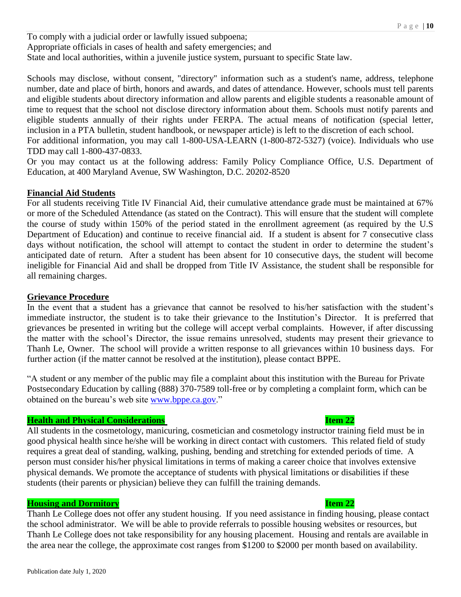To comply with a judicial order or lawfully issued subpoena;

Appropriate officials in cases of health and safety emergencies; and

State and local authorities, within a juvenile justice system, pursuant to specific State law.

Schools may disclose, without consent, "directory" information such as a student's name, address, telephone number, date and place of birth, honors and awards, and dates of attendance. However, schools must tell parents and eligible students about directory information and allow parents and eligible students a reasonable amount of time to request that the school not disclose directory information about them. Schools must notify parents and eligible students annually of their rights under FERPA. The actual means of notification (special letter, inclusion in a PTA bulletin, student handbook, or newspaper article) is left to the discretion of each school.

For additional information, you may call 1-800-USA-LEARN (1-800-872-5327) (voice). Individuals who use TDD may call 1-800-437-0833.

Or you may contact us at the following address: Family Policy Compliance Office, U.S. Department of Education, at 400 Maryland Avenue, SW Washington, D.C. 20202-8520

#### **Financial Aid Students**

For all students receiving Title IV Financial Aid, their cumulative attendance grade must be maintained at 67% or more of the Scheduled Attendance (as stated on the Contract). This will ensure that the student will complete the course of study within 150% of the period stated in the enrollment agreement (as required by the U.S Department of Education) and continue to receive financial aid. If a student is absent for 7 consecutive class days without notification, the school will attempt to contact the student in order to determine the student's anticipated date of return. After a student has been absent for 10 consecutive days, the student will become ineligible for Financial Aid and shall be dropped from Title IV Assistance, the student shall be responsible for all remaining charges.

#### **Grievance Procedure**

In the event that a student has a grievance that cannot be resolved to his/her satisfaction with the student's immediate instructor, the student is to take their grievance to the Institution's Director. It is preferred that grievances be presented in writing but the college will accept verbal complaints. However, if after discussing the matter with the school's Director, the issue remains unresolved, students may present their grievance to Thanh Le, Owner. The school will provide a written response to all grievances within 10 business days. For further action (if the matter cannot be resolved at the institution), please contact BPPE.

"A student or any member of the public may file a complaint about this institution with the Bureau for Private Postsecondary Education by calling (888) 370-7589 toll-free or by completing a complaint form, which can be obtained on the bureau's web site [www.bppe.ca.gov.](http://www.bppe.ca.gov/)"

#### **Health and Physical Considerations Item 22**

All students in the cosmetology, manicuring, cosmetician and cosmetology instructor training field must be in good physical health since he/she will be working in direct contact with customers. This related field of study requires a great deal of standing, walking, pushing, bending and stretching for extended periods of time. A person must consider his/her physical limitations in terms of making a career choice that involves extensive physical demands. We promote the acceptance of students with physical limitations or disabilities if these students (their parents or physician) believe they can fulfill the training demands.

#### **Housing and Dormitory Item 22**

Thanh Le College does not offer any student housing. If you need assistance in finding housing, please contact the school administrator. We will be able to provide referrals to possible housing websites or resources, but Thanh Le College does not take responsibility for any housing placement. Housing and rentals are available in the area near the college, the approximate cost ranges from \$1200 to \$2000 per month based on availability.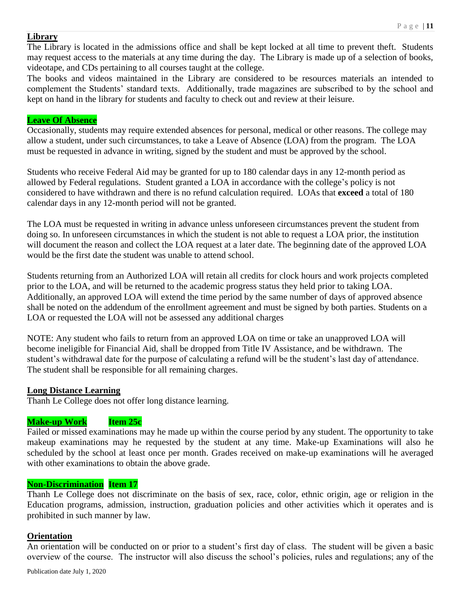#### **Library**

The Library is located in the admissions office and shall be kept locked at all time to prevent theft. Students may request access to the materials at any time during the day. The Library is made up of a selection of books, videotape, and CDs pertaining to all courses taught at the college.

The books and videos maintained in the Library are considered to be resources materials an intended to complement the Students' standard texts. Additionally, trade magazines are subscribed to by the school and kept on hand in the library for students and faculty to check out and review at their leisure.

#### **Leave Of Absence**

Occasionally, students may require extended absences for personal, medical or other reasons. The college may allow a student, under such circumstances, to take a Leave of Absence (LOA) from the program. The LOA must be requested in advance in writing, signed by the student and must be approved by the school.

Students who receive Federal Aid may be granted for up to 180 calendar days in any 12-month period as allowed by Federal regulations. Student granted a LOA in accordance with the college's policy is not considered to have withdrawn and there is no refund calculation required. LOAs that **exceed** a total of 180 calendar days in any 12-month period will not be granted.

The LOA must be requested in writing in advance unless unforeseen circumstances prevent the student from doing so. In unforeseen circumstances in which the student is not able to request a LOA prior, the institution will document the reason and collect the LOA request at a later date. The beginning date of the approved LOA would be the first date the student was unable to attend school.

Students returning from an Authorized LOA will retain all credits for clock hours and work projects completed prior to the LOA, and will be returned to the academic progress status they held prior to taking LOA. Additionally, an approved LOA will extend the time period by the same number of days of approved absence shall be noted on the addendum of the enrollment agreement and must be signed by both parties. Students on a LOA or requested the LOA will not be assessed any additional charges

NOTE: Any student who fails to return from an approved LOA on time or take an unapproved LOA will become ineligible for Financial Aid, shall be dropped from Title IV Assistance, and be withdrawn. The student's withdrawal date for the purpose of calculating a refund will be the student's last day of attendance. The student shall be responsible for all remaining charges.

#### **Long Distance Learning**

Thanh Le College does not offer long distance learning.

#### **Make-up Work Item 25c**

Failed or missed examinations may he made up within the course period by any student. The opportunity to take makeup examinations may he requested by the student at any time. Make-up Examinations will also he scheduled by the school at least once per month. Grades received on make-up examinations will he averaged with other examinations to obtain the above grade.

#### **Non-Discrimination Item 17**

Thanh Le College does not discriminate on the basis of sex, race, color, ethnic origin, age or religion in the Education programs, admission, instruction, graduation policies and other activities which it operates and is prohibited in such manner by law.

#### **Orientation**

An orientation will be conducted on or prior to a student's first day of class. The student will be given a basic overview of the course. The instructor will also discuss the school's policies, rules and regulations; any of the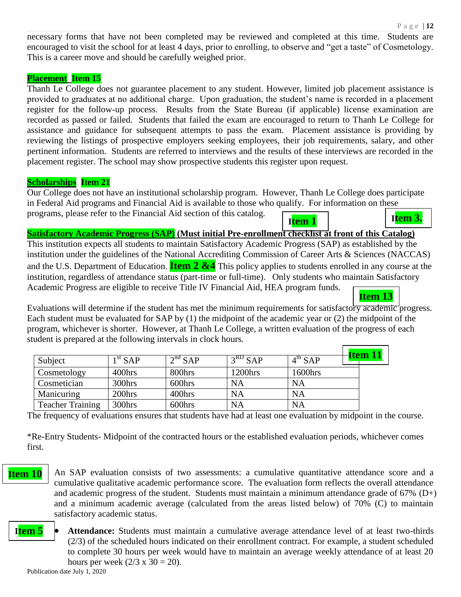**Item 13**

necessary forms that have not been completed may be reviewed and completed at this time. Students are encouraged to visit the school for at least 4 days, prior to enrolling, to observe and "get a taste" of Cosmetology. This is a career move and should be carefully weighed prior.

#### **Placement Item 15**

Thanh Le College does not guarantee placement to any student. However, limited job placement assistance is provided to graduates at no additional charge. Upon graduation, the student's name is recorded in a placement register for the follow-up process. Results from the State Bureau (if applicable) license examination are recorded as passed or failed. Students that failed the exam are encouraged to return to Thanh Le College for assistance and guidance for subsequent attempts to pass the exam. Placement assistance is providing by reviewing the listings of prospective employers seeking employees, their job requirements, salary, and other pertinent information. Students are referred to interviews and the results of these interviews are recorded in the placement register. The school may show prospective students this register upon request.

#### **Scholarships Item 21**

Our College does not have an institutional scholarship program. However, Thanh Le College does participate in Federal Aid programs and Financial Aid is available to those who qualify. For information on these programs, please refer to the Financial Aid section of this catalog. **<sup>I</sup>tem 1 <sup>I</sup>tem 3.**

#### **Satisfactory Academic Progress (SAP) (Must initial Pre-enrollment checklist at front of this Catalog)**

This institution expects all students to maintain Satisfactory Academic Progress (SAP) as established by the institution under the guidelines of the National Accrediting Commission of Career Arts & Sciences (NACCAS) and the U.S. Department of Education. **Item 2 &4** This policy applies to students enrolled in any course at the institution, regardless of attendance status (part-time or full-time). Only students who maintain Satisfactory Academic Progress are eligible to receive Title IV Financial Aid, HEA program funds.

Evaluations will determine if the student has met the minimum requirements for satisfactory academic progress. Each student must be evaluated for SAP by (1) the midpoint of the academic year or (2) the midpoint of the program, whichever is shorter. However, at Thanh Le College, a written evaluation of the progress of each student is prepared at the following intervals in clock hours.

| Subject                 | $I^{\text{st}}$ SAP | $2nd$ SAP | $3RD$ SAP | $4th$ SAP | <b>Item</b> |
|-------------------------|---------------------|-----------|-----------|-----------|-------------|
| Cosmetology             | 400hrs              | 800hrs    | 1200hrs   | 1600hrs   |             |
| Cosmetician             | 300hrs              | 600hrs    | <b>NA</b> | <b>NA</b> |             |
| Manicuring              | 200hrs              | 400hrs    | <b>NA</b> | <b>NA</b> |             |
| <b>Teacher Training</b> | 300hrs              | 600hrs    | <b>NA</b> | <b>NA</b> |             |

The frequency of evaluations ensures that students have had at least one evaluation by midpoint in the course.

\*Re-Entry Students- Midpoint of the contracted hours or the established evaluation periods, whichever comes first.

- An SAP evaluation consists of two assessments: a cumulative quantitative attendance score and a cumulative qualitative academic performance score. The evaluation form reflects the overall attendance and academic progress of the student. Students must maintain a minimum attendance grade of 67% (D+) and a minimum academic average (calculated from the areas listed below) of 70% (C) to maintain satisfactory academic status. **Item 10**
	- **Attendance:** Students must maintain a cumulative average attendance level of at least two-thirds (2/3) of the scheduled hours indicated on their enrollment contract. For example, a student scheduled to complete 30 hours per week would have to maintain an average weekly attendance of at least 20 hours per week  $(2/3 \times 30 = 20)$ . **Item 5**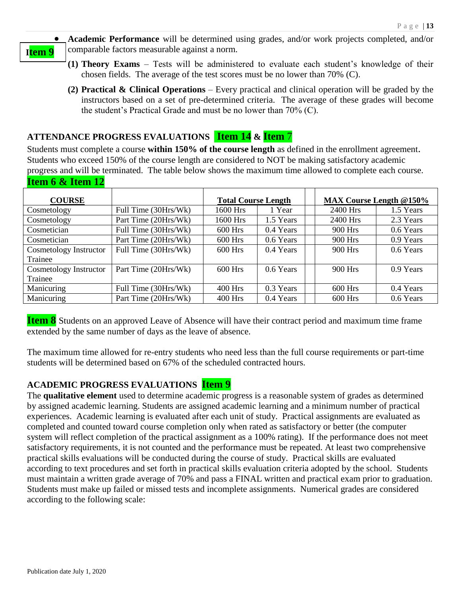**Academic Performance** will be determined using grades, and/or work projects completed, and/or comparable factors measurable against a norm.

- **(1) Theory Exams** Tests will be administered to evaluate each student's knowledge of their chosen fields. The average of the test scores must be no lower than 70% (C).
- **(2) Practical & Clinical Operations** Every practical and clinical operation will be graded by the instructors based on a set of pre-determined criteria. The average of these grades will become the student's Practical Grade and must be no lower than 70% (C).

## **ATTENDANCE PROGRESS EVALUATIONS Item 14 & Item** 7

Students must complete a course **within 150% of the course length** as defined in the enrollment agreement. Students who exceed 150% of the course length are considered to NOT be making satisfactory academic progress and will be terminated. The table below shows the maximum time allowed to complete each course.

| <b>COURSE</b>          |                      | <b>Total Course Length</b> |           |           | <b>MAX Course Length @150%</b> |
|------------------------|----------------------|----------------------------|-----------|-----------|--------------------------------|
| Cosmetology            | Full Time (30Hrs/Wk) | 1600 Hrs                   | 1 Year    | 2400 Hrs  | 1.5 Years                      |
| Cosmetology            | Part Time (20Hrs/Wk) | 1600 Hrs                   | 1.5 Years | 2400 Hrs  | 2.3 Years                      |
| Cosmetician            | Full Time (30Hrs/Wk) | $600$ Hrs                  | 0.4 Years | 900 Hrs   | 0.6 Years                      |
| Cosmetician            | Part Time (20Hrs/Wk) | $600$ Hrs                  | 0.6 Years | 900 Hrs   | 0.9 Years                      |
| Cosmetology Instructor | Full Time (30Hrs/Wk) | 600 Hrs                    | 0.4 Years | 900 Hrs   | 0.6 Years                      |
| Trainee                |                      |                            |           |           |                                |
| Cosmetology Instructor | Part Time (20Hrs/Wk) | 600 Hrs                    | 0.6 Years | 900 Hrs   | 0.9 Years                      |
| Trainee                |                      |                            |           |           |                                |
| Manicuring             | Full Time (30Hrs/Wk) | $400$ Hrs                  | 0.3 Years | $600$ Hrs | 0.4 Years                      |
| Manicuring             | Part Time (20Hrs/Wk) | $400$ Hrs                  | 0.4 Years | 600 Hrs   | 0.6 Years                      |

**Item 8** Students on an approved Leave of Absence will have their contract period and maximum time frame extended by the same number of days as the leave of absence.

The maximum time allowed for re-entry students who need less than the full course requirements or part-time students will be determined based on 67% of the scheduled contracted hours.

#### **ACADEMIC PROGRESS EVALUATIONS Item 9**

The **qualitative element** used to determine academic progress is a reasonable system of grades as determined by assigned academic learning. Students are assigned academic learning and a minimum number of practical experiences. Academic learning is evaluated after each unit of study. Practical assignments are evaluated as completed and counted toward course completion only when rated as satisfactory or better (the computer system will reflect completion of the practical assignment as a 100% rating). If the performance does not meet satisfactory requirements, it is not counted and the performance must be repeated. At least two comprehensive practical skills evaluations will be conducted during the course of study. Practical skills are evaluated according to text procedures and set forth in practical skills evaluation criteria adopted by the school. Students must maintain a written grade average of 70% and pass a FINAL written and practical exam prior to graduation. Students must make up failed or missed tests and incomplete assignments. Numerical grades are considered according to the following scale:

**Item 6 & Item 12**

**Item 9**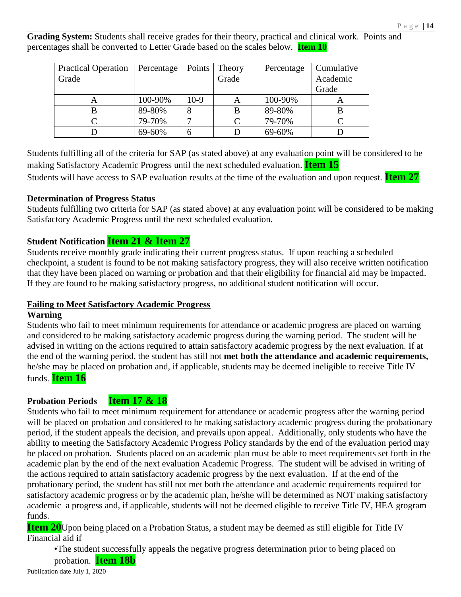**Grading System:** Students shall receive grades for their theory, practical and clinical work. Points and percentages shall be converted to Letter Grade based on the scales below. **Item 10**

| <b>Practical Operation</b> | Percentage | Points | Theory | Percentage | Cumulative |
|----------------------------|------------|--------|--------|------------|------------|
| Grade                      |            |        | Grade  |            | Academic   |
|                            |            |        |        |            | Grade      |
| A                          | 100-90%    | $10-9$ | A      | 100-90%    | A          |
|                            | 89-80%     |        |        | 89-80%     |            |
|                            | 79-70%     |        |        | 79-70%     |            |
|                            | 69-60%     |        |        | 69-60%     |            |

Students fulfilling all of the criteria for SAP (as stated above) at any evaluation point will be considered to be making Satisfactory Academic Progress until the next scheduled evaluation. **Item 15**

Students will have access to SAP evaluation results at the time of the evaluation and upon request. **Item 27**

#### **Determination of Progress Status**

Students fulfilling two criteria for SAP (as stated above) at any evaluation point will be considered to be making Satisfactory Academic Progress until the next scheduled evaluation.

#### **Student Notification Item 21 & Item 27**

Students receive monthly grade indicating their current progress status. If upon reaching a scheduled checkpoint, a student is found to be not making satisfactory progress, they will also receive written notification that they have been placed on warning or probation and that their eligibility for financial aid may be impacted. If they are found to be making satisfactory progress, no additional student notification will occur.

#### **Failing to Meet Satisfactory Academic Progress**

#### **Warning**

Students who fail to meet minimum requirements for attendance or academic progress are placed on warning and considered to be making satisfactory academic progress during the warning period. The student will be advised in writing on the actions required to attain satisfactory academic progress by the next evaluation. If at the end of the warning period, the student has still not **met both the attendance and academic requirements,** he/she may be placed on probation and, if applicable, students may be deemed ineligible to receive Title IV funds. **Item 16**

#### **Probation Periods Item 17 & 18**

Students who fail to meet minimum requirement for attendance or academic progress after the warning period will be placed on probation and considered to be making satisfactory academic progress during the probationary period, if the student appeals the decision, and prevails upon appeal. Additionally, only students who have the ability to meeting the Satisfactory Academic Progress Policy standards by the end of the evaluation period may be placed on probation. Students placed on an academic plan must be able to meet requirements set forth in the academic plan by the end of the next evaluation Academic Progress. The student will be advised in writing of the actions required to attain satisfactory academic progress by the next evaluation. If at the end of the probationary period, the student has still not met both the attendance and academic requirements required for satisfactory academic progress or by the academic plan, he/she will be determined as NOT making satisfactory academic a progress and, if applicable, students will not be deemed eligible to receive Title IV, HEA grogram funds.

**Item 20**Upon being placed on a Probation Status, a student may be deemed as still eligible for Title IV Financial aid if

•The student successfully appeals the negative progress determination prior to being placed on

probation. **Item 18b**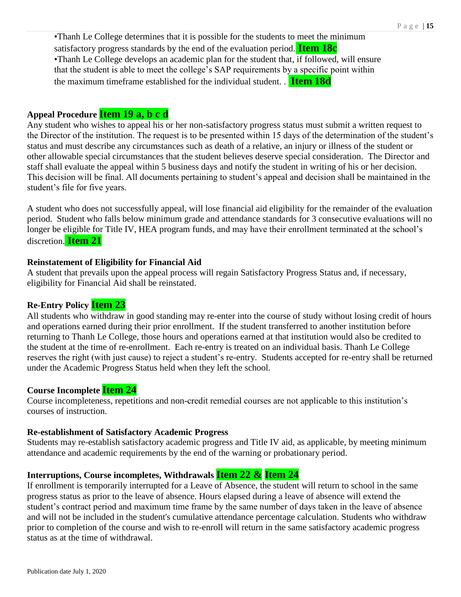•Thanh Le College determines that it is possible for the students to meet the minimum satisfactory progress standards by the end of the evaluation period. **Item 18c** •Thanh Le College develops an academic plan for the student that, if followed, will ensure that the student is able to meet the college's SAP requirements by a specific point within the maximum timeframe established for the individual student. . **Item 18d**

#### **Appeal Procedure Item 19 a, b c d**

Any student who wishes to appeal his or her non-satisfactory progress status must submit a written request to the Director of the institution. The request is to be presented within 15 days of the determination of the student's status and must describe any circumstances such as death of a relative, an injury or illness of the student or other allowable special circumstances that the student believes deserve special consideration. The Director and staff shall evaluate the appeal within 5 business days and notify the student in writing of his or her decision. This decision will be final. All documents pertaining to student's appeal and decision shall be maintained in the student's file for five years.

A student who does not successfully appeal, will lose financial aid eligibility for the remainder of the evaluation period. Student who falls below minimum grade and attendance standards for 3 consecutive evaluations will no longer be eligible for Title IV, HEA program funds, and may have their enrollment terminated at the school's discretion. **Item 21**

#### **Reinstatement of Eligibility for Financial Aid**

A student that prevails upon the appeal process will regain Satisfactory Progress Status and, if necessary, eligibility for Financial Aid shall be reinstated.

#### **Re-Entry Policy Item 23**

All students who withdraw in good standing may re-enter into the course of study without losing credit of hours and operations earned during their prior enrollment. If the student transferred to another institution before returning to Thanh Le College, those hours and operations earned at that institution would also be credited to the student at the time of re-enrollment. Each re-entry is treated on an individual basis. Thanh Le College reserves the right (with just cause) to reject a student's re-entry. Students accepted for re-entry shall be returned under the Academic Progress Status held when they left the school.

#### **Course Incomplete Item 24**

Course incompleteness, repetitions and non-credit remedial courses are not applicable to this institution's courses of instruction.

#### **Re-establishment of Satisfactory Academic Progress**

Students may re-establish satisfactory academic progress and Title IV aid, as applicable, by meeting minimum attendance and academic requirements by the end of the warning or probationary period.

## **Interruptions, Course incompletes, Withdrawals Item 22 & Item 24**

If enrollment is temporarily interrupted for a Leave of Absence, the student will return to school in the same progress status as prior to the leave of absence. Hours elapsed during a leave of absence will extend the student's contract period and maximum time frame by the same number of days taken in the leave of absence and will not be included in the student's cumulative attendance percentage calculation. Students who withdraw prior to completion of the course and wish to re-enroll will return in the same satisfactory academic progress status as at the time of withdrawal.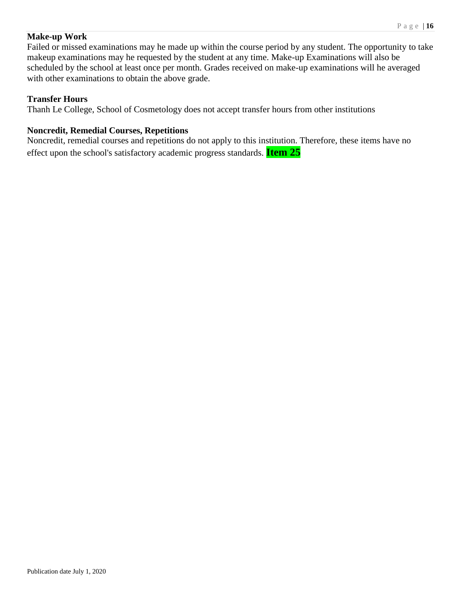#### **Make-up Work**

Failed or missed examinations may he made up within the course period by any student. The opportunity to take makeup examinations may he requested by the student at any time. Make-up Examinations will also be scheduled by the school at least once per month. Grades received on make-up examinations will he averaged with other examinations to obtain the above grade.

#### **Transfer Hours**

Thanh Le College, School of Cosmetology does not accept transfer hours from other institutions

#### **Noncredit, Remedial Courses, Repetitions**

Noncredit, remedial courses and repetitions do not apply to this institution. Therefore, these items have no effect upon the school's satisfactory academic progress standards. **Item 25**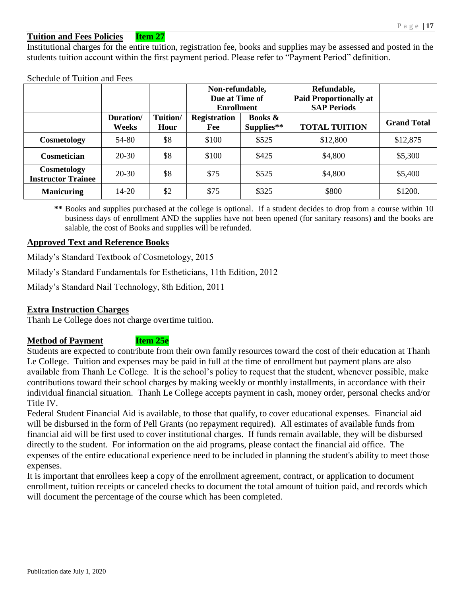#### **Tuition and Fees Policies Item 27**

Institutional charges for the entire tuition, registration fee, books and supplies may be assessed and posted in the students tuition account within the first payment period. Please refer to "Payment Period" definition.

#### Schedule of Tuition and Fees

|                                          |                    |                  | Non-refundable,<br>Due at Time of<br><b>Enrollment</b> |                                  | Refundable,<br><b>Paid Proportionally at</b><br><b>SAP Periods</b> |                    |
|------------------------------------------|--------------------|------------------|--------------------------------------------------------|----------------------------------|--------------------------------------------------------------------|--------------------|
|                                          | Duration/<br>Weeks | Tuition/<br>Hour | <b>Registration</b><br>Fee                             | <b>Books &amp;</b><br>Supplies** | <b>TOTAL TUITION</b>                                               | <b>Grand Total</b> |
| Cosmetology                              | 54-80              | \$8              | \$100                                                  | \$525                            | \$12,800                                                           | \$12,875           |
| Cosmetician                              | $20 - 30$          | \$8              | \$100                                                  | \$425                            | \$4,800                                                            | \$5,300            |
| Cosmetology<br><b>Instructor Trainee</b> | $20 - 30$          | \$8              | \$75                                                   | \$525                            | \$4,800                                                            | \$5,400            |
| <b>Manicuring</b>                        | 14-20              | \$2              | \$75                                                   | \$325                            | \$800                                                              | \$1200.            |

**\*\*** Books and supplies purchased at the college is optional. If a student decides to drop from a course within 10 business days of enrollment AND the supplies have not been opened (for sanitary reasons) and the books are salable, the cost of Books and supplies will be refunded.

#### **Approved Text and Reference Books**

Milady's Standard Textbook of Cosmetology, 2015

Milady's Standard Fundamentals for Estheticians, 11th Edition, 2012

Milady's Standard Nail Technology, 8th Edition, 2011

#### **Extra Instruction Charges**

Thanh Le College does not charge overtime tuition.

#### **Method of Payment Item 25e**

Students are expected to contribute from their own family resources toward the cost of their education at Thanh Le College. Tuition and expenses may be paid in full at the time of enrollment but payment plans are also available from Thanh Le College. It is the school's policy to request that the student, whenever possible, make contributions toward their school charges by making weekly or monthly installments, in accordance with their individual financial situation. Thanh Le College accepts payment in cash, money order, personal checks and/or Title IV.

Federal Student Financial Aid is available, to those that qualify, to cover educational expenses. Financial aid will be disbursed in the form of Pell Grants (no repayment required). All estimates of available funds from financial aid will be first used to cover institutional charges. If funds remain available, they will be disbursed directly to the student. For information on the aid programs, please contact the financial aid office. The expenses of the entire educational experience need to be included in planning the student's ability to meet those expenses.

It is important that enrollees keep a copy of the enrollment agreement, contract, or application to document enrollment, tuition receipts or canceled checks to document the total amount of tuition paid, and records which will document the percentage of the course which has been completed.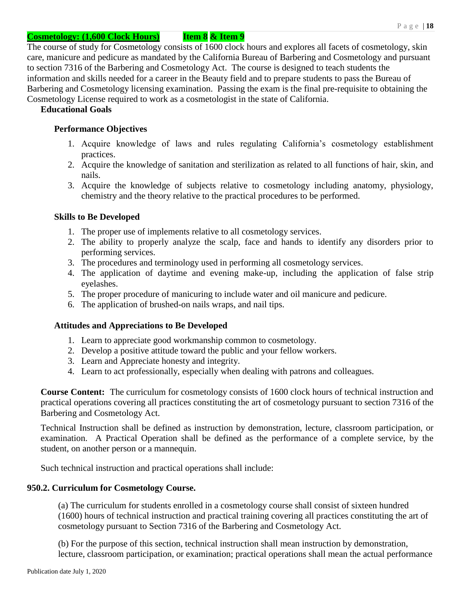#### **Cosmetology: (1,600 Clock Hours) Item 8 & Item 9**

The course of study for Cosmetology consists of 1600 clock hours and explores all facets of cosmetology, skin care, manicure and pedicure as mandated by the California Bureau of Barbering and Cosmetology and pursuant to section 7316 of the Barbering and Cosmetology Act. The course is designed to teach students the information and skills needed for a career in the Beauty field and to prepare students to pass the Bureau of Barbering and Cosmetology licensing examination. Passing the exam is the final pre-requisite to obtaining the Cosmetology License required to work as a cosmetologist in the state of California.

#### **Educational Goals**

#### **Performance Objectives**

- 1. Acquire knowledge of laws and rules regulating California's cosmetology establishment practices.
- 2. Acquire the knowledge of sanitation and sterilization as related to all functions of hair, skin, and nails.
- 3. Acquire the knowledge of subjects relative to cosmetology including anatomy, physiology, chemistry and the theory relative to the practical procedures to be performed.

#### **Skills to Be Developed**

- 1. The proper use of implements relative to all cosmetology services.
- 2. The ability to properly analyze the scalp, face and hands to identify any disorders prior to performing services.
- 3. The procedures and terminology used in performing all cosmetology services.
- 4. The application of daytime and evening make-up, including the application of false strip eyelashes.
- 5. The proper procedure of manicuring to include water and oil manicure and pedicure.
- 6. The application of brushed-on nails wraps, and nail tips.

#### **Attitudes and Appreciations to Be Developed**

- 1. Learn to appreciate good workmanship common to cosmetology.
- 2. Develop a positive attitude toward the public and your fellow workers.
- 3. Learn and Appreciate honesty and integrity.
- 4. Learn to act professionally, especially when dealing with patrons and colleagues.

**Course Content:** The curriculum for cosmetology consists of 1600 clock hours of technical instruction and practical operations covering all practices constituting the art of cosmetology pursuant to section 7316 of the Barbering and Cosmetology Act.

Technical Instruction shall be defined as instruction by demonstration, lecture, classroom participation, or examination. A Practical Operation shall be defined as the performance of a complete service, by the student, on another person or a mannequin.

Such technical instruction and practical operations shall include:

#### **950.2. Curriculum for Cosmetology Course.**

(a) The curriculum for students enrolled in a cosmetology course shall consist of sixteen hundred (1600) hours of technical instruction and practical training covering all practices constituting the art of cosmetology pursuant to Section 7316 of the Barbering and Cosmetology Act.

(b) For the purpose of this section, technical instruction shall mean instruction by demonstration, lecture, classroom participation, or examination; practical operations shall mean the actual performance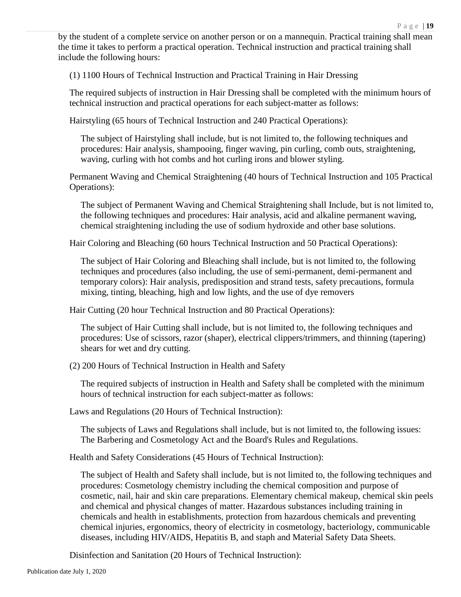by the student of a complete service on another person or on a mannequin. Practical training shall mean the time it takes to perform a practical operation. Technical instruction and practical training shall include the following hours:

(1) 1100 Hours of Technical Instruction and Practical Training in Hair Dressing

The required subjects of instruction in Hair Dressing shall be completed with the minimum hours of technical instruction and practical operations for each subject-matter as follows:

Hairstyling (65 hours of Technical Instruction and 240 Practical Operations):

The subject of Hairstyling shall include, but is not limited to, the following techniques and procedures: Hair analysis, shampooing, finger waving, pin curling, comb outs, straightening, waving, curling with hot combs and hot curling irons and blower styling.

Permanent Waving and Chemical Straightening (40 hours of Technical Instruction and 105 Practical Operations):

The subject of Permanent Waving and Chemical Straightening shall Include, but is not limited to, the following techniques and procedures: Hair analysis, acid and alkaline permanent waving, chemical straightening including the use of sodium hydroxide and other base solutions.

Hair Coloring and Bleaching (60 hours Technical Instruction and 50 Practical Operations):

The subject of Hair Coloring and Bleaching shall include, but is not limited to, the following techniques and procedures (also including, the use of semi-permanent, demi-permanent and temporary colors): Hair analysis, predisposition and strand tests, safety precautions, formula mixing, tinting, bleaching, high and low lights, and the use of dye removers

Hair Cutting (20 hour Technical Instruction and 80 Practical Operations):

The subject of Hair Cutting shall include, but is not limited to, the following techniques and procedures: Use of scissors, razor (shaper), electrical clippers/trimmers, and thinning (tapering) shears for wet and dry cutting.

(2) 200 Hours of Technical Instruction in Health and Safety

The required subjects of instruction in Health and Safety shall be completed with the minimum hours of technical instruction for each subject-matter as follows:

Laws and Regulations (20 Hours of Technical Instruction):

The subjects of Laws and Regulations shall include, but is not limited to, the following issues: The Barbering and Cosmetology Act and the Board's Rules and Regulations.

Health and Safety Considerations (45 Hours of Technical Instruction):

The subject of Health and Safety shall include, but is not limited to, the following techniques and procedures: Cosmetology chemistry including the chemical composition and purpose of cosmetic, nail, hair and skin care preparations. Elementary chemical makeup, chemical skin peels and chemical and physical changes of matter. Hazardous substances including training in chemicals and health in establishments, protection from hazardous chemicals and preventing chemical injuries, ergonomics, theory of electricity in cosmetology, bacteriology, communicable diseases, including HIV/AIDS, Hepatitis B, and staph and Material Safety Data Sheets.

Disinfection and Sanitation (20 Hours of Technical Instruction):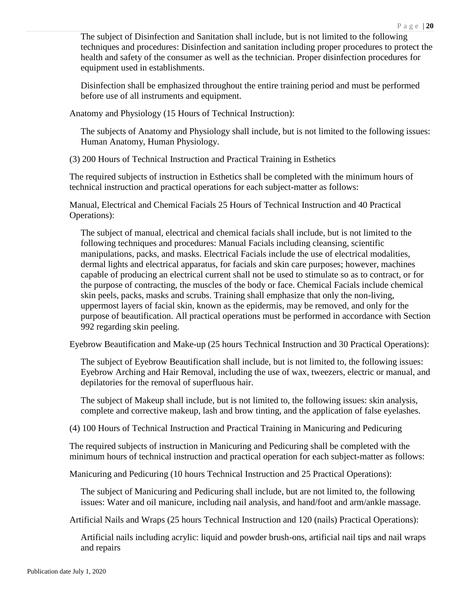The subject of Disinfection and Sanitation shall include, but is not limited to the following techniques and procedures: Disinfection and sanitation including proper procedures to protect the health and safety of the consumer as well as the technician. Proper disinfection procedures for equipment used in establishments.

Disinfection shall be emphasized throughout the entire training period and must be performed before use of all instruments and equipment.

Anatomy and Physiology (15 Hours of Technical Instruction):

The subjects of Anatomy and Physiology shall include, but is not limited to the following issues: Human Anatomy, Human Physiology.

(3) 200 Hours of Technical Instruction and Practical Training in Esthetics

The required subjects of instruction in Esthetics shall be completed with the minimum hours of technical instruction and practical operations for each subject-matter as follows:

Manual, Electrical and Chemical Facials 25 Hours of Technical Instruction and 40 Practical Operations):

The subject of manual, electrical and chemical facials shall include, but is not limited to the following techniques and procedures: Manual Facials including cleansing, scientific manipulations, packs, and masks. Electrical Facials include the use of electrical modalities, dermal lights and electrical apparatus, for facials and skin care purposes; however, machines capable of producing an electrical current shall not be used to stimulate so as to contract, or for the purpose of contracting, the muscles of the body or face. Chemical Facials include chemical skin peels, packs, masks and scrubs. Training shall emphasize that only the non-living, uppermost layers of facial skin, known as the epidermis, may be removed, and only for the purpose of beautification. All practical operations must be performed in accordance with Section 992 regarding skin peeling.

Eyebrow Beautification and Make-up (25 hours Technical Instruction and 30 Practical Operations):

The subject of Eyebrow Beautification shall include, but is not limited to, the following issues: Eyebrow Arching and Hair Removal, including the use of wax, tweezers, electric or manual, and depilatories for the removal of superfluous hair.

The subject of Makeup shall include, but is not limited to, the following issues: skin analysis, complete and corrective makeup, lash and brow tinting, and the application of false eyelashes.

(4) 100 Hours of Technical Instruction and Practical Training in Manicuring and Pedicuring

The required subjects of instruction in Manicuring and Pedicuring shall be completed with the minimum hours of technical instruction and practical operation for each subject-matter as follows:

Manicuring and Pedicuring (10 hours Technical Instruction and 25 Practical Operations):

The subject of Manicuring and Pedicuring shall include, but are not limited to, the following issues: Water and oil manicure, including nail analysis, and hand/foot and arm/ankle massage.

Artificial Nails and Wraps (25 hours Technical Instruction and 120 (nails) Practical Operations):

Artificial nails including acrylic: liquid and powder brush-ons, artificial nail tips and nail wraps and repairs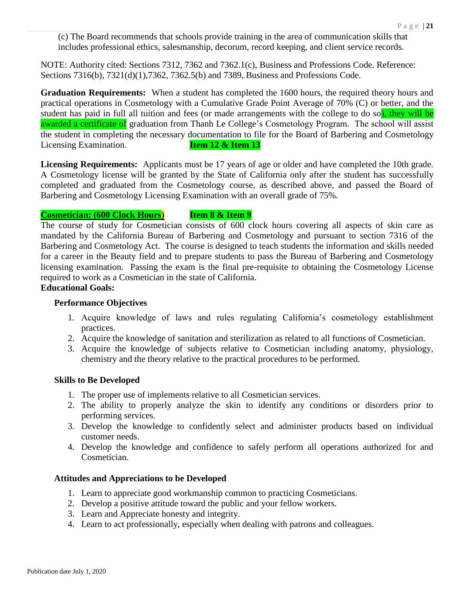(c) The Board recommends that schools provide training in the area of communication skills that includes professional ethics, salesmanship, decorum, record keeping, and client service records.

NOTE: Authority cited: Sections 7312, 7362 and 7362.1(c), Business and Professions Code. Reference: Sections 7316(b), 7321(d)(1),7362, 7362.5(b) and 7389, Business and Professions Code.

**Graduation Requirements:** When a student has completed the 1600 hours, the required theory hours and practical operations in Cosmetology with a Cumulative Grade Point Average of 70% (C) or better, and the student has paid in full all tuition and fees (or made arrangements with the college to do so), they will be awarded a certificate of graduation from Thanh Le College's Cosmetology Program. The school will assist the student in completing the necessary documentation to file for the Board of Barbering and Cosmetology Licensing Examination. **Item 12 & Item 13**

**Licensing Requirements:** Applicants must be 17 years of age or older and have completed the 10th grade. A Cosmetology license will be granted by the State of California only after the student has successfully completed and graduated from the Cosmetology course, as described above, and passed the Board of Barbering and Cosmetology Licensing Examination with an overall grade of 75%.

#### **Cosmetician: (600 Clock Hours) Item 8 & Item 9**

The course of study for Cosmetician consists of 600 clock hours covering all aspects of skin care as mandated by the California Bureau of Barbering and Cosmetology and pursuant to section 7316 of the Barbering and Cosmetology Act. The course is designed to teach students the information and skills needed for a career in the Beauty field and to prepare students to pass the Bureau of Barbering and Cosmetology licensing examination. Passing the exam is the final pre-requisite to obtaining the Cosmetology License required to work as a Cosmetician in the state of California.

#### **Educational Goals:**

#### **Performance Objectives**

- 1. Acquire knowledge of laws and rules regulating California's cosmetology establishment practices.
- 2. Acquire the knowledge of sanitation and sterilization as related to all functions of Cosmetician.
- 3. Acquire the knowledge of subjects relative to Cosmetician including anatomy, physiology, chemistry and the theory relative to the practical procedures to be performed.

#### **Skills to Be Developed**

- 1. The proper use of implements relative to all Cosmetician services.
- 2. The ability to properly analyze the skin to identify any conditions or disorders prior to performing services.
- 3. Develop the knowledge to confidently select and administer products based on individual customer needs.
- 4. Develop the knowledge and confidence to safely perform all operations authorized for and Cosmetician.

#### **Attitudes and Appreciations to be Developed**

- 1. Learn to appreciate good workmanship common to practicing Cosmeticians.
- 2. Develop a positive attitude toward the public and your fellow workers.
- 3. Learn and Appreciate honesty and integrity.
- 4. Learn to act professionally, especially when dealing with patrons and colleagues.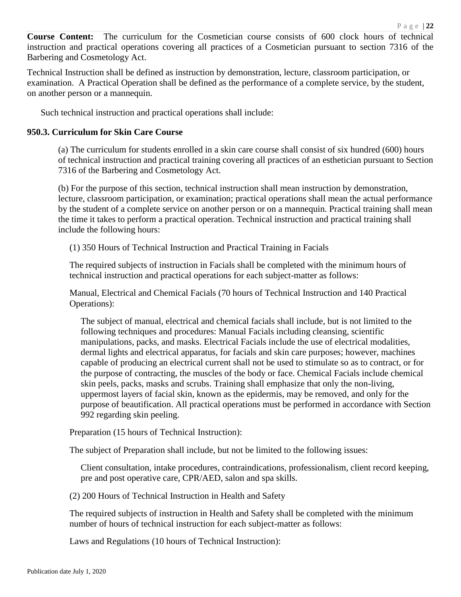**Course Content:** The curriculum for the Cosmetician course consists of 600 clock hours of technical instruction and practical operations covering all practices of a Cosmetician pursuant to section 7316 of the Barbering and Cosmetology Act.

Technical Instruction shall be defined as instruction by demonstration, lecture, classroom participation, or examination. A Practical Operation shall be defined as the performance of a complete service, by the student, on another person or a mannequin.

Such technical instruction and practical operations shall include:

#### **950.3. Curriculum for Skin Care Course**

(a) The curriculum for students enrolled in a skin care course shall consist of six hundred (600) hours of technical instruction and practical training covering all practices of an esthetician pursuant to Section 7316 of the Barbering and Cosmetology Act.

(b) For the purpose of this section, technical instruction shall mean instruction by demonstration, lecture, classroom participation, or examination; practical operations shall mean the actual performance by the student of a complete service on another person or on a mannequin. Practical training shall mean the time it takes to perform a practical operation. Technical instruction and practical training shall include the following hours:

(1) 350 Hours of Technical Instruction and Practical Training in Facials

The required subjects of instruction in Facials shall be completed with the minimum hours of technical instruction and practical operations for each subject-matter as follows:

Manual, Electrical and Chemical Facials (70 hours of Technical Instruction and 140 Practical Operations):

The subject of manual, electrical and chemical facials shall include, but is not limited to the following techniques and procedures: Manual Facials including cleansing, scientific manipulations, packs, and masks. Electrical Facials include the use of electrical modalities, dermal lights and electrical apparatus, for facials and skin care purposes; however, machines capable of producing an electrical current shall not be used to stimulate so as to contract, or for the purpose of contracting, the muscles of the body or face. Chemical Facials include chemical skin peels, packs, masks and scrubs. Training shall emphasize that only the non-living, uppermost layers of facial skin, known as the epidermis, may be removed, and only for the purpose of beautification. All practical operations must be performed in accordance with Section 992 regarding skin peeling.

Preparation (15 hours of Technical Instruction):

The subject of Preparation shall include, but not be limited to the following issues:

Client consultation, intake procedures, contraindications, professionalism, client record keeping, pre and post operative care, CPR/AED, salon and spa skills.

(2) 200 Hours of Technical Instruction in Health and Safety

The required subjects of instruction in Health and Safety shall be completed with the minimum number of hours of technical instruction for each subject-matter as follows:

Laws and Regulations (10 hours of Technical Instruction):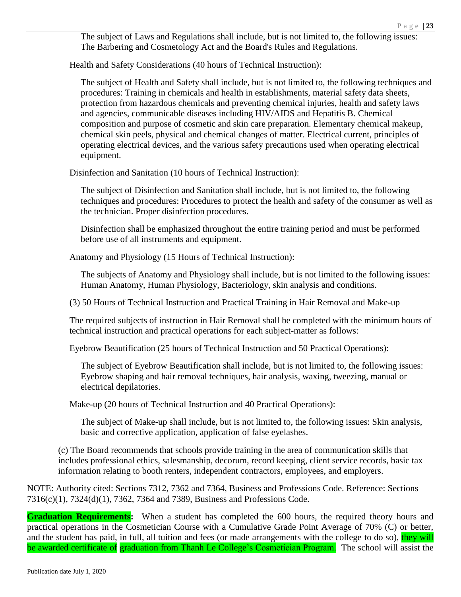The subject of Laws and Regulations shall include, but is not limited to, the following issues: The Barbering and Cosmetology Act and the Board's Rules and Regulations.

Health and Safety Considerations (40 hours of Technical Instruction):

The subject of Health and Safety shall include, but is not limited to, the following techniques and procedures: Training in chemicals and health in establishments, material safety data sheets, protection from hazardous chemicals and preventing chemical injuries, health and safety laws and agencies, communicable diseases including HIV/AIDS and Hepatitis B. Chemical composition and purpose of cosmetic and skin care preparation. Elementary chemical makeup, chemical skin peels, physical and chemical changes of matter. Electrical current, principles of operating electrical devices, and the various safety precautions used when operating electrical equipment.

Disinfection and Sanitation (10 hours of Technical Instruction):

The subject of Disinfection and Sanitation shall include, but is not limited to, the following techniques and procedures: Procedures to protect the health and safety of the consumer as well as the technician. Proper disinfection procedures.

Disinfection shall be emphasized throughout the entire training period and must be performed before use of all instruments and equipment.

Anatomy and Physiology (15 Hours of Technical Instruction):

The subjects of Anatomy and Physiology shall include, but is not limited to the following issues: Human Anatomy, Human Physiology, Bacteriology, skin analysis and conditions.

(3) 50 Hours of Technical Instruction and Practical Training in Hair Removal and Make-up

The required subjects of instruction in Hair Removal shall be completed with the minimum hours of technical instruction and practical operations for each subject-matter as follows:

Eyebrow Beautification (25 hours of Technical Instruction and 50 Practical Operations):

The subject of Eyebrow Beautification shall include, but is not limited to, the following issues: Eyebrow shaping and hair removal techniques, hair analysis, waxing, tweezing, manual or electrical depilatories.

Make-up (20 hours of Technical Instruction and 40 Practical Operations):

The subject of Make-up shall include, but is not limited to, the following issues: Skin analysis, basic and corrective application, application of false eyelashes.

(c) The Board recommends that schools provide training in the area of communication skills that includes professional ethics, salesmanship, decorum, record keeping, client service records, basic tax information relating to booth renters, independent contractors, employees, and employers.

NOTE: Authority cited: Sections 7312, 7362 and 7364, Business and Professions Code. Reference: Sections 7316(c)(1), 7324(d)(1), 7362, 7364 and 7389, Business and Professions Code.

**Graduation Requirements:** When a student has completed the 600 hours, the required theory hours and practical operations in the Cosmetician Course with a Cumulative Grade Point Average of 70% (C) or better, and the student has paid, in full, all tuition and fees (or made arrangements with the college to do so), they will be awarded certificate of graduation from Thanh Le College's Cosmetician Program. The school will assist the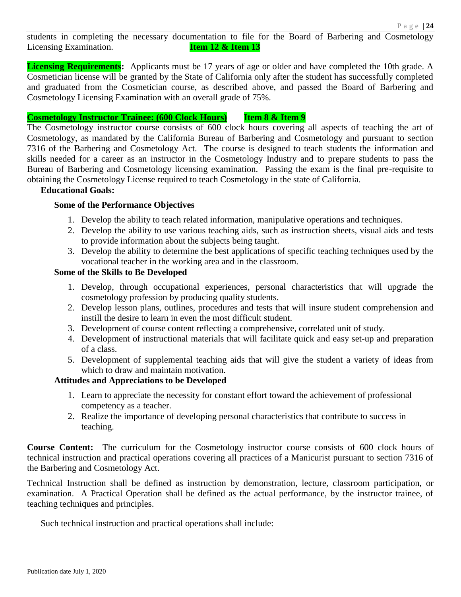students in completing the necessary documentation to file for the Board of Barbering and Cosmetology Licensing Examination. **Item 12 & Item 13**

**Licensing Requirements:** Applicants must be 17 years of age or older and have completed the 10th grade. A Cosmetician license will be granted by the State of California only after the student has successfully completed and graduated from the Cosmetician course, as described above, and passed the Board of Barbering and Cosmetology Licensing Examination with an overall grade of 75%.

#### **Cosmetology Instructor Trainee: (600 Clock Hours) Item 8 & Item 9**

The Cosmetology instructor course consists of 600 clock hours covering all aspects of teaching the art of Cosmetology, as mandated by the California Bureau of Barbering and Cosmetology and pursuant to section 7316 of the Barbering and Cosmetology Act. The course is designed to teach students the information and skills needed for a career as an instructor in the Cosmetology Industry and to prepare students to pass the Bureau of Barbering and Cosmetology licensing examination. Passing the exam is the final pre-requisite to obtaining the Cosmetology License required to teach Cosmetology in the state of California.

#### **Educational Goals:**

#### **Some of the Performance Objectives**

- 1. Develop the ability to teach related information, manipulative operations and techniques.
- 2. Develop the ability to use various teaching aids, such as instruction sheets, visual aids and tests to provide information about the subjects being taught.
- 3. Develop the ability to determine the best applications of specific teaching techniques used by the vocational teacher in the working area and in the classroom.

#### **Some of the Skills to Be Developed**

- 1. Develop, through occupational experiences, personal characteristics that will upgrade the cosmetology profession by producing quality students.
- 2. Develop lesson plans, outlines, procedures and tests that will insure student comprehension and instill the desire to learn in even the most difficult student.
- 3. Development of course content reflecting a comprehensive, correlated unit of study.
- 4. Development of instructional materials that will facilitate quick and easy set-up and preparation of a class.
- 5. Development of supplemental teaching aids that will give the student a variety of ideas from which to draw and maintain motivation.

#### **Attitudes and Appreciations to be Developed**

- 1. Learn to appreciate the necessity for constant effort toward the achievement of professional competency as a teacher.
- 2. Realize the importance of developing personal characteristics that contribute to success in teaching.

**Course Content:** The curriculum for the Cosmetology instructor course consists of 600 clock hours of technical instruction and practical operations covering all practices of a Manicurist pursuant to section 7316 of the Barbering and Cosmetology Act.

Technical Instruction shall be defined as instruction by demonstration, lecture, classroom participation, or examination. A Practical Operation shall be defined as the actual performance, by the instructor trainee, of teaching techniques and principles.

Such technical instruction and practical operations shall include: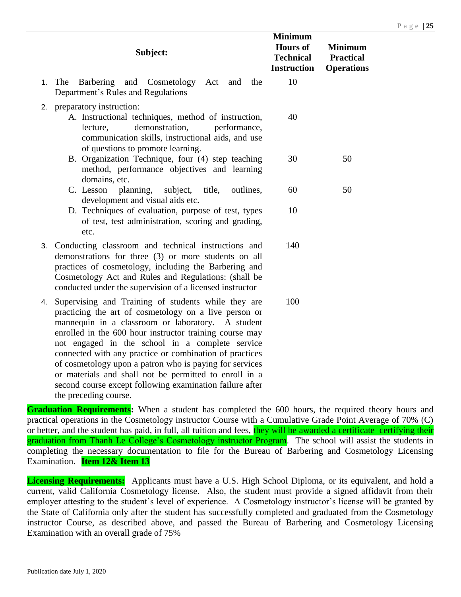|    | Subject:                                                                                                                                                                                                                                                                                                                                                                                                                                                                                                                                             | <b>Minimum</b><br><b>Hours of</b><br><b>Technical</b><br><b>Instruction</b> | <b>Minimum</b><br><b>Practical</b><br><b>Operations</b> |
|----|------------------------------------------------------------------------------------------------------------------------------------------------------------------------------------------------------------------------------------------------------------------------------------------------------------------------------------------------------------------------------------------------------------------------------------------------------------------------------------------------------------------------------------------------------|-----------------------------------------------------------------------------|---------------------------------------------------------|
|    | 1. The<br>Barbering and Cosmetology<br>Act and the<br>Department's Rules and Regulations                                                                                                                                                                                                                                                                                                                                                                                                                                                             | 10                                                                          |                                                         |
|    | 2. preparatory instruction:<br>A. Instructional techniques, method of instruction,<br>demonstration,<br>performance,<br>lecture,<br>communication skills, instructional aids, and use                                                                                                                                                                                                                                                                                                                                                                | 40                                                                          |                                                         |
|    | of questions to promote learning.<br>B. Organization Technique, four (4) step teaching<br>method, performance objectives and learning<br>domains, etc.                                                                                                                                                                                                                                                                                                                                                                                               | 30                                                                          | 50                                                      |
|    | C. Lesson<br>planning,<br>subject, title,<br>outlines,<br>development and visual aids etc.                                                                                                                                                                                                                                                                                                                                                                                                                                                           | 60                                                                          | 50                                                      |
|    | D. Techniques of evaluation, purpose of test, types<br>of test, test administration, scoring and grading,<br>etc.                                                                                                                                                                                                                                                                                                                                                                                                                                    | 10                                                                          |                                                         |
|    | 3. Conducting classroom and technical instructions and<br>demonstrations for three (3) or more students on all<br>practices of cosmetology, including the Barbering and<br>Cosmetology Act and Rules and Regulations: (shall be<br>conducted under the supervision of a licensed instructor                                                                                                                                                                                                                                                          | 140                                                                         |                                                         |
| 4. | Supervising and Training of students while they are<br>practicing the art of cosmetology on a live person or<br>mannequin in a classroom or laboratory. A student<br>enrolled in the 600 hour instructor training course may<br>not engaged in the school in a complete service<br>connected with any practice or combination of practices<br>of cosmetology upon a patron who is paying for services<br>or materials and shall not be permitted to enroll in a<br>second course except following examination failure after<br>the preceding course. | 100                                                                         |                                                         |

**Graduation Requirements:** When a student has completed the 600 hours, the required theory hours and practical operations in the Cosmetology instructor Course with a Cumulative Grade Point Average of 70% (C) or better, and the student has paid, in full, all tuition and fees, they will be awarded a certificate certifying their graduation from Thanh Le College's Cosmetology instructor Program. The school will assist the students in completing the necessary documentation to file for the Bureau of Barbering and Cosmetology Licensing Examination. **Item 12& Item 13**

**Licensing Requirements:** Applicants must have a U.S. High School Diploma, or its equivalent, and hold a current, valid California Cosmetology license. Also, the student must provide a signed affidavit from their employer attesting to the student's level of experience. A Cosmetology instructor's license will be granted by the State of California only after the student has successfully completed and graduated from the Cosmetology instructor Course, as described above, and passed the Bureau of Barbering and Cosmetology Licensing Examination with an overall grade of 75%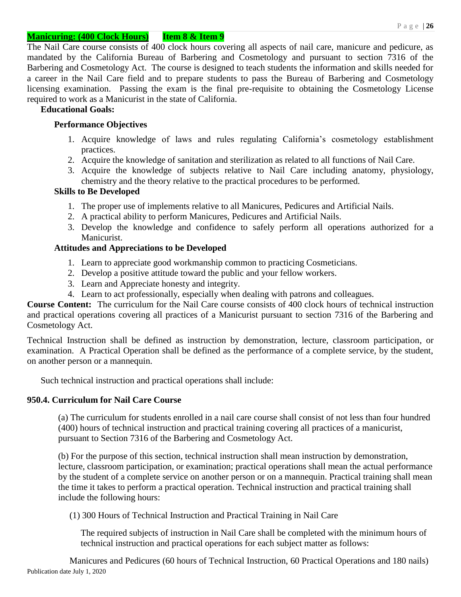#### **Manicuring: (400 Clock Hours) Item 8 & Item 9**

The Nail Care course consists of 400 clock hours covering all aspects of nail care, manicure and pedicure, as mandated by the California Bureau of Barbering and Cosmetology and pursuant to section 7316 of the Barbering and Cosmetology Act. The course is designed to teach students the information and skills needed for a career in the Nail Care field and to prepare students to pass the Bureau of Barbering and Cosmetology licensing examination. Passing the exam is the final pre-requisite to obtaining the Cosmetology License required to work as a Manicurist in the state of California.

#### **Educational Goals:**

#### **Performance Objectives**

- 1. Acquire knowledge of laws and rules regulating California's cosmetology establishment practices.
- 2. Acquire the knowledge of sanitation and sterilization as related to all functions of Nail Care.
- 3. Acquire the knowledge of subjects relative to Nail Care including anatomy, physiology, chemistry and the theory relative to the practical procedures to be performed.

#### **Skills to Be Developed**

- 1. The proper use of implements relative to all Manicures, Pedicures and Artificial Nails.
- 2. A practical ability to perform Manicures, Pedicures and Artificial Nails.
- 3. Develop the knowledge and confidence to safely perform all operations authorized for a **Manicurist**

#### **Attitudes and Appreciations to be Developed**

- 1. Learn to appreciate good workmanship common to practicing Cosmeticians.
- 2. Develop a positive attitude toward the public and your fellow workers.
- 3. Learn and Appreciate honesty and integrity.
- 4. Learn to act professionally, especially when dealing with patrons and colleagues.

**Course Content:** The curriculum for the Nail Care course consists of 400 clock hours of technical instruction and practical operations covering all practices of a Manicurist pursuant to section 7316 of the Barbering and Cosmetology Act.

Technical Instruction shall be defined as instruction by demonstration, lecture, classroom participation, or examination. A Practical Operation shall be defined as the performance of a complete service, by the student, on another person or a mannequin.

Such technical instruction and practical operations shall include:

#### **950.4. Curriculum for Nail Care Course**

(a) The curriculum for students enrolled in a nail care course shall consist of not less than four hundred (400) hours of technical instruction and practical training covering all practices of a manicurist, pursuant to Section 7316 of the Barbering and Cosmetology Act.

(b) For the purpose of this section, technical instruction shall mean instruction by demonstration, lecture, classroom participation, or examination; practical operations shall mean the actual performance by the student of a complete service on another person or on a mannequin. Practical training shall mean the time it takes to perform a practical operation. Technical instruction and practical training shall include the following hours:

(1) 300 Hours of Technical Instruction and Practical Training in Nail Care

The required subjects of instruction in Nail Care shall be completed with the minimum hours of technical instruction and practical operations for each subject matter as follows:

Publication date July 1, 2020 Manicures and Pedicures (60 hours of Technical Instruction, 60 Practical Operations and 180 nails)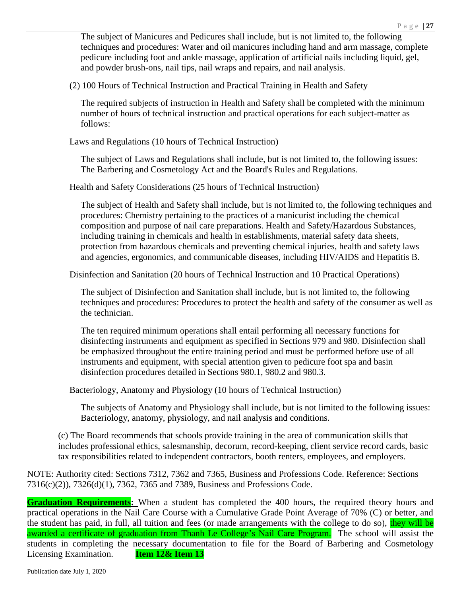The subject of Manicures and Pedicures shall include, but is not limited to, the following techniques and procedures: Water and oil manicures including hand and arm massage, complete pedicure including foot and ankle massage, application of artificial nails including liquid, gel, and powder brush-ons, nail tips, nail wraps and repairs, and nail analysis.

(2) 100 Hours of Technical Instruction and Practical Training in Health and Safety

The required subjects of instruction in Health and Safety shall be completed with the minimum number of hours of technical instruction and practical operations for each subject-matter as follows:

Laws and Regulations (10 hours of Technical Instruction)

The subject of Laws and Regulations shall include, but is not limited to, the following issues: The Barbering and Cosmetology Act and the Board's Rules and Regulations.

Health and Safety Considerations (25 hours of Technical Instruction)

The subject of Health and Safety shall include, but is not limited to, the following techniques and procedures: Chemistry pertaining to the practices of a manicurist including the chemical composition and purpose of nail care preparations. Health and Safety/Hazardous Substances, including training in chemicals and health in establishments, material safety data sheets, protection from hazardous chemicals and preventing chemical injuries, health and safety laws and agencies, ergonomics, and communicable diseases, including HIV/AIDS and Hepatitis B.

Disinfection and Sanitation (20 hours of Technical Instruction and 10 Practical Operations)

The subject of Disinfection and Sanitation shall include, but is not limited to, the following techniques and procedures: Procedures to protect the health and safety of the consumer as well as the technician.

The ten required minimum operations shall entail performing all necessary functions for disinfecting instruments and equipment as specified in Sections 979 and 980. Disinfection shall be emphasized throughout the entire training period and must be performed before use of all instruments and equipment, with special attention given to pedicure foot spa and basin disinfection procedures detailed in Sections 980.1, 980.2 and 980.3.

Bacteriology, Anatomy and Physiology (10 hours of Technical Instruction)

The subjects of Anatomy and Physiology shall include, but is not limited to the following issues: Bacteriology, anatomy, physiology, and nail analysis and conditions.

(c) The Board recommends that schools provide training in the area of communication skills that includes professional ethics, salesmanship, decorum, record-keeping, client service record cards, basic tax responsibilities related to independent contractors, booth renters, employees, and employers.

NOTE: Authority cited: Sections 7312, 7362 and 7365, Business and Professions Code. Reference: Sections 7316(c)(2)), 7326(d)(1), 7362, 7365 and 7389, Business and Professions Code.

**Graduation Requirements:** When a student has completed the 400 hours, the required theory hours and practical operations in the Nail Care Course with a Cumulative Grade Point Average of 70% (C) or better, and the student has paid, in full, all tuition and fees (or made arrangements with the college to do so), they will be awarded a certificate of graduation from Thanh Le College's Nail Care Program. The school will assist the students in completing the necessary documentation to file for the Board of Barbering and Cosmetology Licensing Examination. **Item 12& Item 13**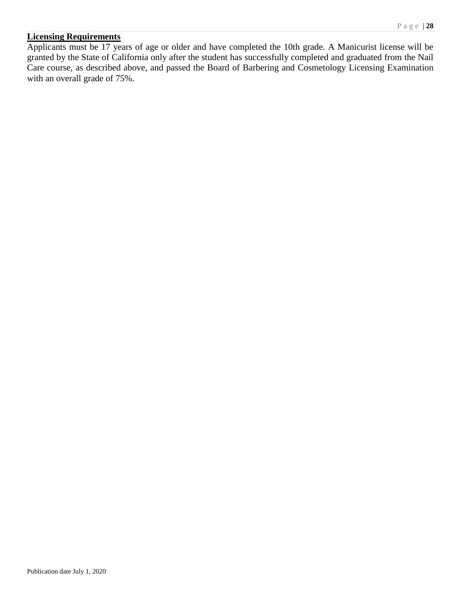#### **Licensing Requirements**

Applicants must be 17 years of age or older and have completed the 10th grade. A Manicurist license will be granted by the State of California only after the student has successfully completed and graduated from the Nail Care course, as described above, and passed the Board of Barbering and Cosmetology Licensing Examination with an overall grade of 75%.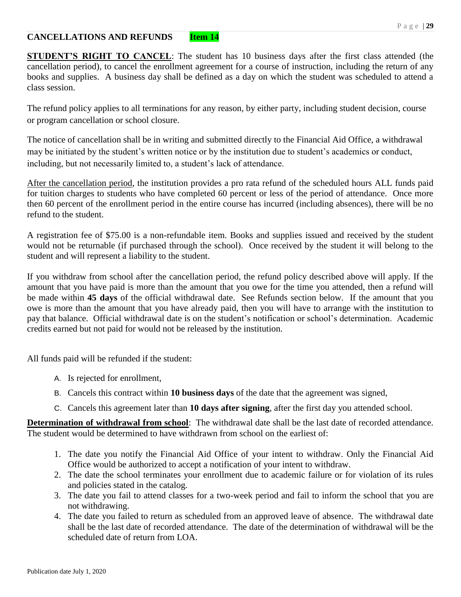#### **CANCELLATIONS AND REFUNDS Item 14**

**STUDENT'S RIGHT TO CANCEL:** The student has 10 business days after the first class attended (the cancellation period), to cancel the enrollment agreement for a course of instruction, including the return of any books and supplies. A business day shall be defined as a day on which the student was scheduled to attend a class session.

The refund policy applies to all terminations for any reason, by either party, including student decision, course or program cancellation or school closure.

The notice of cancellation shall be in writing and submitted directly to the Financial Aid Office, a withdrawal may be initiated by the student's written notice or by the institution due to student's academics or conduct, including, but not necessarily limited to, a student's lack of attendance.

After the cancellation period, the institution provides a pro rata refund of the scheduled hours ALL funds paid for tuition charges to students who have completed 60 percent or less of the period of attendance. Once more then 60 percent of the enrollment period in the entire course has incurred (including absences), there will be no refund to the student.

A registration fee of \$75.00 is a non-refundable item. Books and supplies issued and received by the student would not be returnable (if purchased through the school). Once received by the student it will belong to the student and will represent a liability to the student.

If you withdraw from school after the cancellation period, the refund policy described above will apply. If the amount that you have paid is more than the amount that you owe for the time you attended, then a refund will be made within **45 days** of the official withdrawal date. See Refunds section below. If the amount that you owe is more than the amount that you have already paid, then you will have to arrange with the institution to pay that balance. Official withdrawal date is on the student's notification or school's determination. Academic credits earned but not paid for would not be released by the institution.

All funds paid will be refunded if the student:

- A. Is rejected for enrollment,
- B. Cancels this contract within **10 business days** of the date that the agreement was signed,
- C. Cancels this agreement later than **10 days after signing**, after the first day you attended school.

**Determination of withdrawal from school**: The withdrawal date shall be the last date of recorded attendance. The student would be determined to have withdrawn from school on the earliest of:

- 1. The date you notify the Financial Aid Office of your intent to withdraw. Only the Financial Aid Office would be authorized to accept a notification of your intent to withdraw.
- 2. The date the school terminates your enrollment due to academic failure or for violation of its rules and policies stated in the catalog.
- 3. The date you fail to attend classes for a two-week period and fail to inform the school that you are not withdrawing.
- 4. The date you failed to return as scheduled from an approved leave of absence. The withdrawal date shall be the last date of recorded attendance. The date of the determination of withdrawal will be the scheduled date of return from LOA.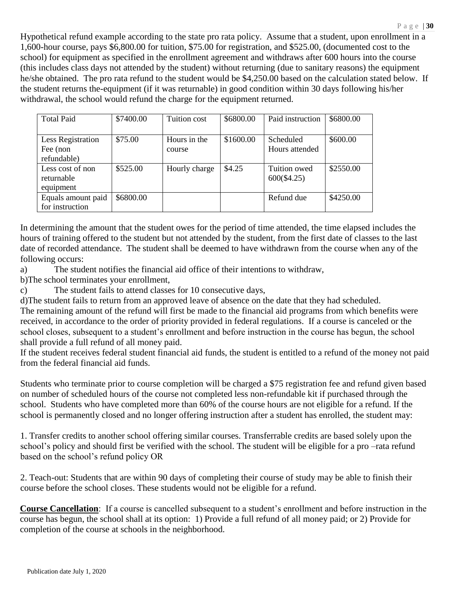Hypothetical refund example according to the state pro rata policy. Assume that a student, upon enrollment in a 1,600-hour course, pays \$6,800.00 for tuition, \$75.00 for registration, and \$525.00, (documented cost to the school) for equipment as specified in the enrollment agreement and withdraws after 600 hours into the course (this includes class days not attended by the student) without returning (due to sanitary reasons) the equipment he/she obtained. The pro rata refund to the student would be \$4,250.00 based on the calculation stated below. If the student returns the-equipment (if it was returnable) in good condition within 30 days following his/her withdrawal, the school would refund the charge for the equipment returned.

| <b>Total Paid</b>  | \$7400.00 | Tuition cost  | \$6800.00 | Paid instruction | \$6800.00 |
|--------------------|-----------|---------------|-----------|------------------|-----------|
|                    |           |               |           |                  |           |
| Less Registration  | \$75.00   | Hours in the  | \$1600.00 | Scheduled        | \$600.00  |
| Fee (non           |           | course        |           | Hours attended   |           |
| refundable)        |           |               |           |                  |           |
| Less cost of non   | \$525.00  | Hourly charge | \$4.25    | Tuition owed     | \$2550.00 |
| returnable         |           |               |           | 600(\$4.25)      |           |
| equipment          |           |               |           |                  |           |
| Equals amount paid | \$6800.00 |               |           | Refund due       | \$4250.00 |
| for instruction    |           |               |           |                  |           |

In determining the amount that the student owes for the period of time attended, the time elapsed includes the hours of training offered to the student but not attended by the student, from the first date of classes to the last date of recorded attendance. The student shall be deemed to have withdrawn from the course when any of the following occurs:

a) The student notifies the financial aid office of their intentions to withdraw,

b)The school terminates your enrollment,

c) The student fails to attend classes for 10 consecutive days,

d)The student fails to return from an approved leave of absence on the date that they had scheduled. The remaining amount of the refund will first be made to the financial aid programs from which benefits were received, in accordance to the order of priority provided in federal regulations. If a course is canceled or the school closes, subsequent to a student's enrollment and before instruction in the course has begun, the school shall provide a full refund of all money paid.

If the student receives federal student financial aid funds, the student is entitled to a refund of the money not paid from the federal financial aid funds.

Students who terminate prior to course completion will be charged a \$75 registration fee and refund given based on number of scheduled hours of the course not completed less non-refundable kit if purchased through the school. Students who have completed more than 60% of the course hours are not eligible for a refund. If the school is permanently closed and no longer offering instruction after a student has enrolled, the student may:

1. Transfer credits to another school offering similar courses. Transferrable credits are based solely upon the school's policy and should first be verified with the school. The student will be eligible for a pro –rata refund based on the school's refund policy OR

2. Teach-out: Students that are within 90 days of completing their course of study may be able to finish their course before the school closes. These students would not be eligible for a refund.

**Course Cancellation**: If a course is cancelled subsequent to a student's enrollment and before instruction in the course has begun, the school shall at its option: 1) Provide a full refund of all money paid; or 2) Provide for completion of the course at schools in the neighborhood.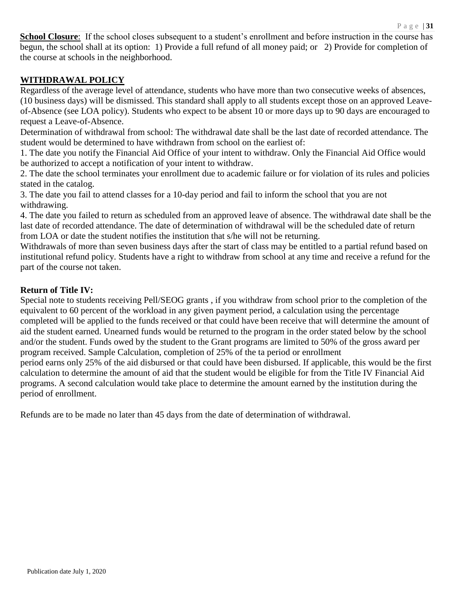**School Closure:** If the school closes subsequent to a student's enrollment and before instruction in the course has begun, the school shall at its option: 1) Provide a full refund of all money paid; or 2) Provide for completion of the course at schools in the neighborhood.

## **WITHDRAWAL POLICY**

Regardless of the average level of attendance, students who have more than two consecutive weeks of absences, (10 business days) will be dismissed. This standard shall apply to all students except those on an approved Leaveof-Absence (see LOA policy). Students who expect to be absent 10 or more days up to 90 days are encouraged to request a Leave-of-Absence.

Determination of withdrawal from school: The withdrawal date shall be the last date of recorded attendance. The student would be determined to have withdrawn from school on the earliest of:

1. The date you notify the Financial Aid Office of your intent to withdraw. Only the Financial Aid Office would be authorized to accept a notification of your intent to withdraw.

2. The date the school terminates your enrollment due to academic failure or for violation of its rules and policies stated in the catalog.

3. The date you fail to attend classes for a 10-day period and fail to inform the school that you are not withdrawing.

4. The date you failed to return as scheduled from an approved leave of absence. The withdrawal date shall be the last date of recorded attendance. The date of determination of withdrawal will be the scheduled date of return from LOA or date the student notifies the institution that s/he will not be returning.

Withdrawals of more than seven business days after the start of class may be entitled to a partial refund based on institutional refund policy. Students have a right to withdraw from school at any time and receive a refund for the part of the course not taken.

#### **Return of Title IV:**

period of enrollment.

Special note to students receiving Pell/SEOG grants , if you withdraw from school prior to the completion of the equivalent to 60 percent of the workload in any given payment period, a calculation using the percentage completed will be applied to the funds received or that could have been receive that will determine the amount of aid the student earned. Unearned funds would be returned to the program in the order stated below by the school and/or the student. Funds owed by the student to the Grant programs are limited to 50% of the gross award per program received. Sample Calculation, completion of 25% of the ta period or enrollment period earns only 25% of the aid disbursed or that could have been disbursed. If applicable, this would be the first calculation to determine the amount of aid that the student would be eligible for from the Title IV Financial Aid programs. A second calculation would take place to determine the amount earned by the institution during the

Refunds are to be made no later than 45 days from the date of determination of withdrawal.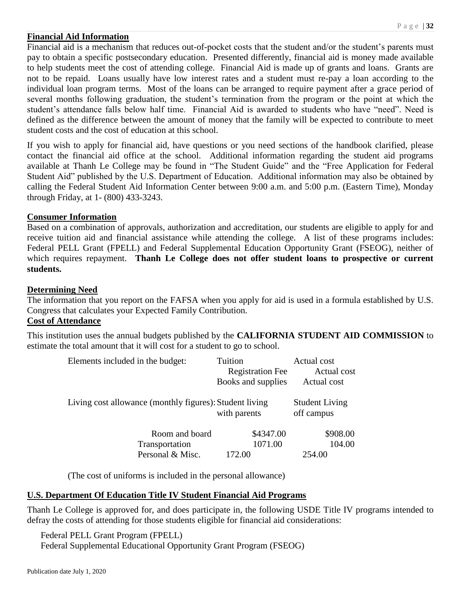#### P a g e | **32**

#### **Financial Aid Information**

Financial aid is a mechanism that reduces out-of-pocket costs that the student and/or the student's parents must pay to obtain a specific postsecondary education. Presented differently, financial aid is money made available to help students meet the cost of attending college. Financial Aid is made up of grants and loans. Grants are not to be repaid. Loans usually have low interest rates and a student must re-pay a loan according to the individual loan program terms. Most of the loans can be arranged to require payment after a grace period of several months following graduation, the student's termination from the program or the point at which the student's attendance falls below half time. Financial Aid is awarded to students who have "need". Need is defined as the difference between the amount of money that the family will be expected to contribute to meet student costs and the cost of education at this school.

If you wish to apply for financial aid, have questions or you need sections of the handbook clarified, please contact the financial aid office at the school. Additional information regarding the student aid programs available at Thanh Le College may be found in "The Student Guide" and the "Free Application for Federal Student Aid" published by the U.S. Department of Education. Additional information may also be obtained by calling the Federal Student Aid Information Center between 9:00 a.m. and 5:00 p.m. (Eastern Time), Monday through Friday, at 1- (800) 433-3243.

#### **Consumer Information**

Based on a combination of approvals, authorization and accreditation, our students are eligible to apply for and receive tuition aid and financial assistance while attending the college. A list of these programs includes: Federal PELL Grant (FPELL) and Federal Supplemental Education Opportunity Grant (FSEOG), neither of which requires repayment. **Thanh Le College does not offer student loans to prospective or current students.**

#### **Determining Need**

The information that you report on the FAFSA when you apply for aid is used in a formula established by U.S. Congress that calculates your Expected Family Contribution.

#### **Cost of Attendance**

This institution uses the annual budgets published by the **CALIFORNIA STUDENT AID COMMISSION** to estimate the total amount that it will cost for a student to go to school.

| Elements included in the budget:                        | Tuition<br><b>Registration Fee</b><br>Books and supplies | Actual cost<br>Actual cost<br>Actual cost |
|---------------------------------------------------------|----------------------------------------------------------|-------------------------------------------|
| Living cost allowance (monthly figures): Student living | with parents                                             | <b>Student Living</b><br>off campus       |
| Room and board                                          | \$4347.00                                                | \$908.00                                  |
| Transportation                                          | 1071.00                                                  | 104.00                                    |
| Personal & Misc.                                        | 172.00                                                   | 254.00                                    |

(The cost of uniforms is included in the personal allowance)

#### **U.S. Department Of Education Title IV Student Financial Aid Programs**

Thanh Le College is approved for, and does participate in, the following USDE Title IV programs intended to defray the costs of attending for those students eligible for financial aid considerations:

Federal PELL Grant Program (FPELL) Federal Supplemental Educational Opportunity Grant Program (FSEOG)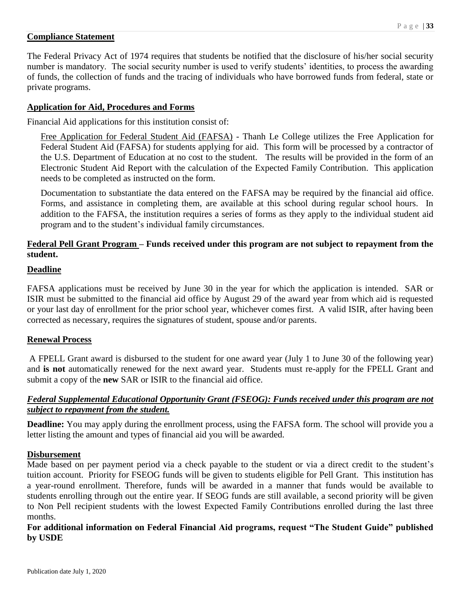#### **Compliance Statement**

The Federal Privacy Act of 1974 requires that students be notified that the disclosure of his/her social security number is mandatory. The social security number is used to verify students' identities, to process the awarding of funds, the collection of funds and the tracing of individuals who have borrowed funds from federal, state or private programs.

#### **Application for Aid, Procedures and Forms**

Financial Aid applications for this institution consist of:

Free Application for Federal Student Aid (FAFSA) - Thanh Le College utilizes the Free Application for Federal Student Aid (FAFSA) for students applying for aid. This form will be processed by a contractor of the U.S. Department of Education at no cost to the student. The results will be provided in the form of an Electronic Student Aid Report with the calculation of the Expected Family Contribution. This application needs to be completed as instructed on the form.

Documentation to substantiate the data entered on the FAFSA may be required by the financial aid office. Forms, and assistance in completing them, are available at this school during regular school hours. In addition to the FAFSA, the institution requires a series of forms as they apply to the individual student aid program and to the student's individual family circumstances.

#### **Federal Pell Grant Program – Funds received under this program are not subject to repayment from the student.**

#### **Deadline**

FAFSA applications must be received by June 30 in the year for which the application is intended. SAR or ISIR must be submitted to the financial aid office by August 29 of the award year from which aid is requested or your last day of enrollment for the prior school year, whichever comes first. A valid ISIR, after having been corrected as necessary, requires the signatures of student, spouse and/or parents.

#### **Renewal Process**

A FPELL Grant award is disbursed to the student for one award year (July 1 to June 30 of the following year) and **is not** automatically renewed for the next award year. Students must re-apply for the FPELL Grant and submit a copy of the **new** SAR or ISIR to the financial aid office.

#### *Federal Supplemental Educational Opportunity Grant (FSEOG): Funds received under this program are not subject to repayment from the student.*

**Deadline:** You may apply during the enrollment process, using the FAFSA form. The school will provide you a letter listing the amount and types of financial aid you will be awarded.

#### **Disbursement**

Made based on per payment period via a check payable to the student or via a direct credit to the student's tuition account. Priority for FSEOG funds will be given to students eligible for Pell Grant. This institution has a year-round enrollment. Therefore, funds will be awarded in a manner that funds would be available to students enrolling through out the entire year. If SEOG funds are still available, a second priority will be given to Non Pell recipient students with the lowest Expected Family Contributions enrolled during the last three months.

#### **For additional information on Federal Financial Aid programs, request "The Student Guide" published by USDE**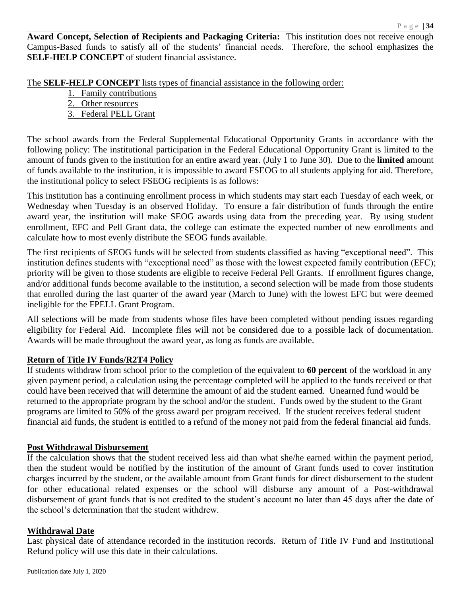**Award Concept, Selection of Recipients and Packaging Criteria:** This institution does not receive enough Campus-Based funds to satisfy all of the students' financial needs. Therefore, the school emphasizes the **SELF-HELP CONCEPT** of student financial assistance.

The **SELF-HELP CONCEPT** lists types of financial assistance in the following order:

- 1. Family contributions
- 2. Other resources
- 3. Federal PELL Grant

The school awards from the Federal Supplemental Educational Opportunity Grants in accordance with the following policy: The institutional participation in the Federal Educational Opportunity Grant is limited to the amount of funds given to the institution for an entire award year. (July 1 to June 30). Due to the **limited** amount of funds available to the institution, it is impossible to award FSEOG to all students applying for aid. Therefore, the institutional policy to select FSEOG recipients is as follows:

This institution has a continuing enrollment process in which students may start each Tuesday of each week, or Wednesday when Tuesday is an observed Holiday. To ensure a fair distribution of funds through the entire award year, the institution will make SEOG awards using data from the preceding year. By using student enrollment, EFC and Pell Grant data, the college can estimate the expected number of new enrollments and calculate how to most evenly distribute the SEOG funds available.

The first recipients of SEOG funds will be selected from students classified as having "exceptional need". This institution defines students with "exceptional need" as those with the lowest expected family contribution (EFC); priority will be given to those students are eligible to receive Federal Pell Grants. If enrollment figures change, and/or additional funds become available to the institution, a second selection will be made from those students that enrolled during the last quarter of the award year (March to June) with the lowest EFC but were deemed ineligible for the FPELL Grant Program.

All selections will be made from students whose files have been completed without pending issues regarding eligibility for Federal Aid. Incomplete files will not be considered due to a possible lack of documentation. Awards will be made throughout the award year, as long as funds are available.

#### **Return of Title IV Funds/R2T4 Policy**

If students withdraw from school prior to the completion of the equivalent to **60 percent** of the workload in any given payment period, a calculation using the percentage completed will be applied to the funds received or that could have been received that will determine the amount of aid the student earned. Unearned fund would be returned to the appropriate program by the school and/or the student. Funds owed by the student to the Grant programs are limited to 50% of the gross award per program received. If the student receives federal student financial aid funds, the student is entitled to a refund of the money not paid from the federal financial aid funds.

#### **Post Withdrawal Disbursement**

If the calculation shows that the student received less aid than what she/he earned within the payment period, then the student would be notified by the institution of the amount of Grant funds used to cover institution charges incurred by the student, or the available amount from Grant funds for direct disbursement to the student for other educational related expenses or the school will disburse any amount of a Post-withdrawal disbursement of grant funds that is not credited to the student's account no later than 45 days after the date of the school's determination that the student withdrew.

#### **Withdrawal Date**

Last physical date of attendance recorded in the institution records. Return of Title IV Fund and Institutional Refund policy will use this date in their calculations.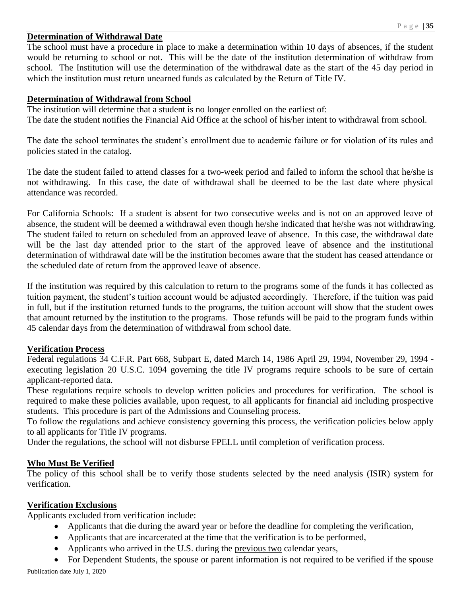#### P a g e | **35**

#### **Determination of Withdrawal Date**

The school must have a procedure in place to make a determination within 10 days of absences, if the student would be returning to school or not. This will be the date of the institution determination of withdraw from school. The Institution will use the determination of the withdrawal date as the start of the 45 day period in which the institution must return unearned funds as calculated by the Return of Title IV.

#### **Determination of Withdrawal from School**

The institution will determine that a student is no longer enrolled on the earliest of: The date the student notifies the Financial Aid Office at the school of his/her intent to withdrawal from school.

The date the school terminates the student's enrollment due to academic failure or for violation of its rules and policies stated in the catalog.

The date the student failed to attend classes for a two-week period and failed to inform the school that he/she is not withdrawing. In this case, the date of withdrawal shall be deemed to be the last date where physical attendance was recorded.

For California Schools: If a student is absent for two consecutive weeks and is not on an approved leave of absence, the student will be deemed a withdrawal even though he/she indicated that he/she was not withdrawing. The student failed to return on scheduled from an approved leave of absence. In this case, the withdrawal date will be the last day attended prior to the start of the approved leave of absence and the institutional determination of withdrawal date will be the institution becomes aware that the student has ceased attendance or the scheduled date of return from the approved leave of absence.

If the institution was required by this calculation to return to the programs some of the funds it has collected as tuition payment, the student's tuition account would be adjusted accordingly. Therefore, if the tuition was paid in full, but if the institution returned funds to the programs, the tuition account will show that the student owes that amount returned by the institution to the programs. Those refunds will be paid to the program funds within 45 calendar days from the determination of withdrawal from school date.

#### **Verification Process**

Federal regulations 34 C.F.R. Part 668, Subpart E, dated March 14, 1986 April 29, 1994, November 29, 1994 executing legislation 20 U.S.C. 1094 governing the title IV programs require schools to be sure of certain applicant-reported data.

These regulations require schools to develop written policies and procedures for verification. The school is required to make these policies available, upon request, to all applicants for financial aid including prospective students. This procedure is part of the Admissions and Counseling process.

To follow the regulations and achieve consistency governing this process, the verification policies below apply to all applicants for Title IV programs.

Under the regulations, the school will not disburse FPELL until completion of verification process.

#### **Who Must Be Verified**

The policy of this school shall be to verify those students selected by the need analysis (ISIR) system for verification.

#### **Verification Exclusions**

Applicants excluded from verification include:

- Applicants that die during the award year or before the deadline for completing the verification,
- Applicants that are incarcerated at the time that the verification is to be performed,
- Applicants who arrived in the U.S. during the previous two calendar years,
- For Dependent Students, the spouse or parent information is not required to be verified if the spouse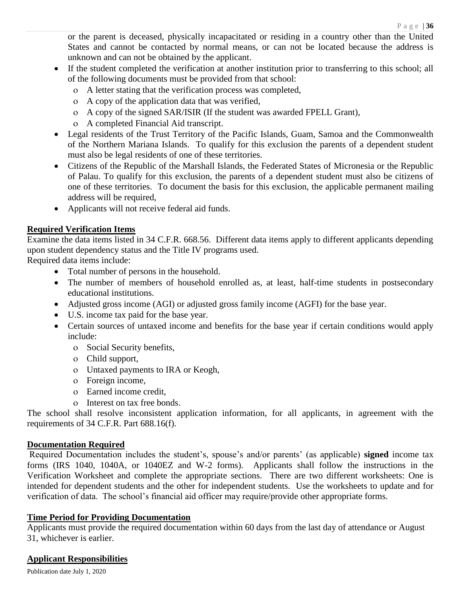or the parent is deceased, physically incapacitated or residing in a country other than the United States and cannot be contacted by normal means, or can not be located because the address is unknown and can not be obtained by the applicant.

- If the student completed the verification at another institution prior to transferring to this school; all of the following documents must be provided from that school:
	- A letter stating that the verification process was completed,
	- A copy of the application data that was verified,
	- A copy of the signed SAR/ISIR (If the student was awarded FPELL Grant),
	- A completed Financial Aid transcript.
- Legal residents of the Trust Territory of the Pacific Islands, Guam, Samoa and the Commonwealth of the Northern Mariana Islands. To qualify for this exclusion the parents of a dependent student must also be legal residents of one of these territories.
- Citizens of the Republic of the Marshall Islands, the Federated States of Micronesia or the Republic of Palau. To qualify for this exclusion, the parents of a dependent student must also be citizens of one of these territories. To document the basis for this exclusion, the applicable permanent mailing address will be required,
- Applicants will not receive federal aid funds.

#### **Required Verification Items**

Examine the data items listed in 34 C.F.R. 668.56. Different data items apply to different applicants depending upon student dependency status and the Title IV programs used.

Required data items include:

- Total number of persons in the household.
- The number of members of household enrolled as, at least, half-time students in postsecondary educational institutions.
- Adjusted gross income (AGI) or adjusted gross family income (AGFI) for the base year.
- U.S. income tax paid for the base year.
- Certain sources of untaxed income and benefits for the base year if certain conditions would apply include:
	- o Social Security benefits,
	- Child support,
	- Untaxed payments to IRA or Keogh,
	- Foreign income,
	- Earned income credit,
	- Interest on tax free bonds.

The school shall resolve inconsistent application information, for all applicants, in agreement with the requirements of 34 C.F.R. Part 688.16(f).

#### **Documentation Required**

Required Documentation includes the student's, spouse's and/or parents' (as applicable) **signed** income tax forms (IRS 1040, 1040A, or 1040EZ and W-2 forms). Applicants shall follow the instructions in the Verification Worksheet and complete the appropriate sections. There are two different worksheets: One is intended for dependent students and the other for independent students. Use the worksheets to update and for verification of data. The school's financial aid officer may require/provide other appropriate forms.

#### **Time Period for Providing Documentation**

Applicants must provide the required documentation within 60 days from the last day of attendance or August 31, whichever is earlier.

#### **Applicant Responsibilities**

Publication date July 1, 2020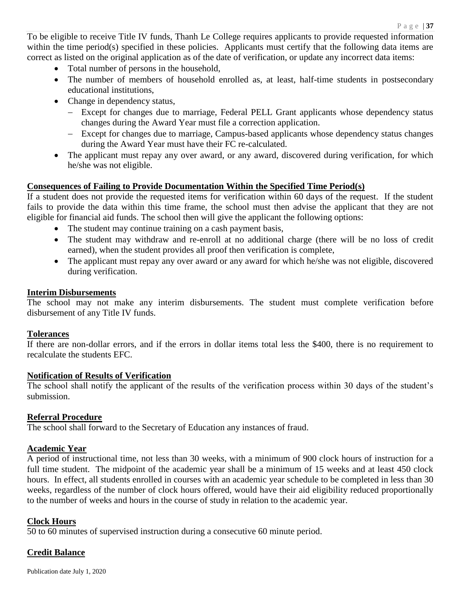To be eligible to receive Title IV funds, Thanh Le College requires applicants to provide requested information within the time period(s) specified in these policies. Applicants must certify that the following data items are correct as listed on the original application as of the date of verification, or update any incorrect data items:

- Total number of persons in the household,
- The number of members of household enrolled as, at least, half-time students in postsecondary educational institutions,
- Change in dependency status,
	- Except for changes due to marriage, Federal PELL Grant applicants whose dependency status changes during the Award Year must file a correction application.
	- Except for changes due to marriage, Campus-based applicants whose dependency status changes during the Award Year must have their FC re-calculated.
- The applicant must repay any over award, or any award, discovered during verification, for which he/she was not eligible.

#### **Consequences of Failing to Provide Documentation Within the Specified Time Period(s)**

If a student does not provide the requested items for verification within 60 days of the request. If the student fails to provide the data within this time frame, the school must then advise the applicant that they are not eligible for financial aid funds. The school then will give the applicant the following options:

- The student may continue training on a cash payment basis,
- The student may withdraw and re-enroll at no additional charge (there will be no loss of credit earned), when the student provides all proof then verification is complete,
- The applicant must repay any over award or any award for which he/she was not eligible, discovered during verification.

#### **Interim Disbursements**

The school may not make any interim disbursements. The student must complete verification before disbursement of any Title IV funds.

#### **Tolerances**

If there are non-dollar errors, and if the errors in dollar items total less the \$400, there is no requirement to recalculate the students EFC.

#### **Notification of Results of Verification**

The school shall notify the applicant of the results of the verification process within 30 days of the student's submission.

#### **Referral Procedure**

The school shall forward to the Secretary of Education any instances of fraud.

#### **Academic Year**

A period of instructional time, not less than 30 weeks, with a minimum of 900 clock hours of instruction for a full time student. The midpoint of the academic year shall be a minimum of 15 weeks and at least 450 clock hours. In effect, all students enrolled in courses with an academic year schedule to be completed in less than 30 weeks, regardless of the number of clock hours offered, would have their aid eligibility reduced proportionally to the number of weeks and hours in the course of study in relation to the academic year.

#### **Clock Hours**

50 to 60 minutes of supervised instruction during a consecutive 60 minute period.

#### **Credit Balance**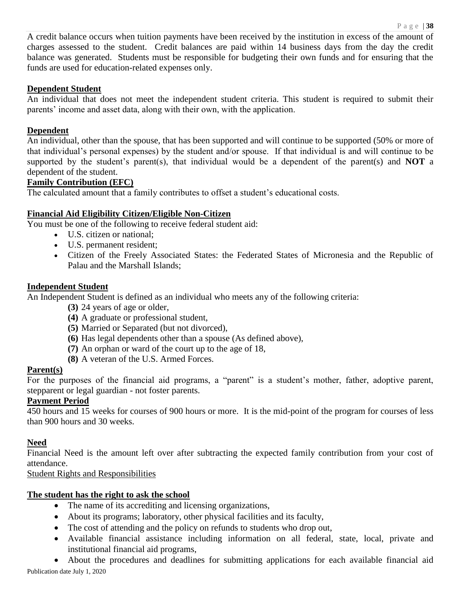A credit balance occurs when tuition payments have been received by the institution in excess of the amount of charges assessed to the student. Credit balances are paid within 14 business days from the day the credit balance was generated. Students must be responsible for budgeting their own funds and for ensuring that the funds are used for education-related expenses only.

#### **Dependent Student**

An individual that does not meet the independent student criteria. This student is required to submit their parents' income and asset data, along with their own, with the application.

#### **Dependent**

An individual, other than the spouse, that has been supported and will continue to be supported (50% or more of that individual's personal expenses) by the student and/or spouse. If that individual is and will continue to be supported by the student's parent(s), that individual would be a dependent of the parent(s) and **NOT** a dependent of the student.

#### **Family Contribution (EFC)**

The calculated amount that a family contributes to offset a student's educational costs.

#### **Financial Aid Eligibility Citizen/Eligible Non-Citizen**

You must be one of the following to receive federal student aid:

- U.S. citizen or national;
- U.S. permanent resident;
- Citizen of the Freely Associated States: the Federated States of Micronesia and the Republic of Palau and the Marshall Islands;

#### **Independent Student**

An Independent Student is defined as an individual who meets any of the following criteria:

- **(3)** 24 years of age or older,
- **(4)** A graduate or professional student,
- **(5)** Married or Separated (but not divorced),
- **(6)** Has legal dependents other than a spouse (As defined above),
- **(7)** An orphan or ward of the court up to the age of 18,
- **(8)** A veteran of the U.S. Armed Forces.

#### **Parent(s)**

For the purposes of the financial aid programs, a "parent" is a student's mother, father, adoptive parent, stepparent or legal guardian - not foster parents.

#### **Payment Period**

450 hours and 15 weeks for courses of 900 hours or more. It is the mid-point of the program for courses of less than 900 hours and 30 weeks.

#### **Need**

Financial Need is the amount left over after subtracting the expected family contribution from your cost of attendance.

Student Rights and Responsibilities

#### **The student has the right to ask the school**

- The name of its accrediting and licensing organizations,
- About its programs; laboratory, other physical facilities and its faculty,
- The cost of attending and the policy on refunds to students who drop out,
- Available financial assistance including information on all federal, state, local, private and institutional financial aid programs,

Publication date July 1, 2020 About the procedures and deadlines for submitting applications for each available financial aid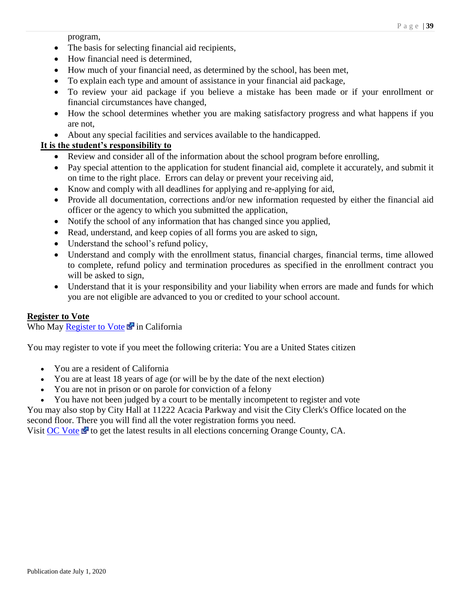program,

- The basis for selecting financial aid recipients,
- How financial need is determined,
- How much of your financial need, as determined by the school, has been met,
- To explain each type and amount of assistance in your financial aid package,
- To review your aid package if you believe a mistake has been made or if your enrollment or financial circumstances have changed,
- How the school determines whether you are making satisfactory progress and what happens if you are not,
- About any special facilities and services available to the handicapped.

#### **It is the student's responsibility to**

- Review and consider all of the information about the school program before enrolling,
- Pay special attention to the application for student financial aid, complete it accurately, and submit it on time to the right place. Errors can delay or prevent your receiving aid,
- Know and comply with all deadlines for applying and re-applying for aid,
- Provide all documentation, corrections and/or new information requested by either the financial aid officer or the agency to which you submitted the application,
- Notify the school of any information that has changed since you applied,
- Read, understand, and keep copies of all forms you are asked to sign,
- Understand the school's refund policy,
- Understand and comply with the enrollment status, financial charges, financial terms, time allowed to complete, refund policy and termination procedures as specified in the enrollment contract you will be asked to sign,
- Understand that it is your responsibility and your liability when errors are made and funds for which you are not eligible are advanced to you or credited to your school account.

#### **Register to Vote**

Who May [Register to Vote](http://www.sos.ca.gov/elections/elections_vr.htm) in California

You may register to vote if you meet the following criteria: You are a United States citizen

- You are a resident of California
- You are at least 18 years of age (or will be by the date of the next election)
- You are not in prison or on parole for conviction of a felony
- You have not been judged by a court to be mentally incompetent to register and vote

You may also stop by City Hall at 11222 Acacia Parkway and visit the City Clerk's Office located on the second floor. There you will find all the voter registration forms you need.

Visit  $OC$  Vote  $C$  to get the latest results in all elections concerning Orange County, CA.